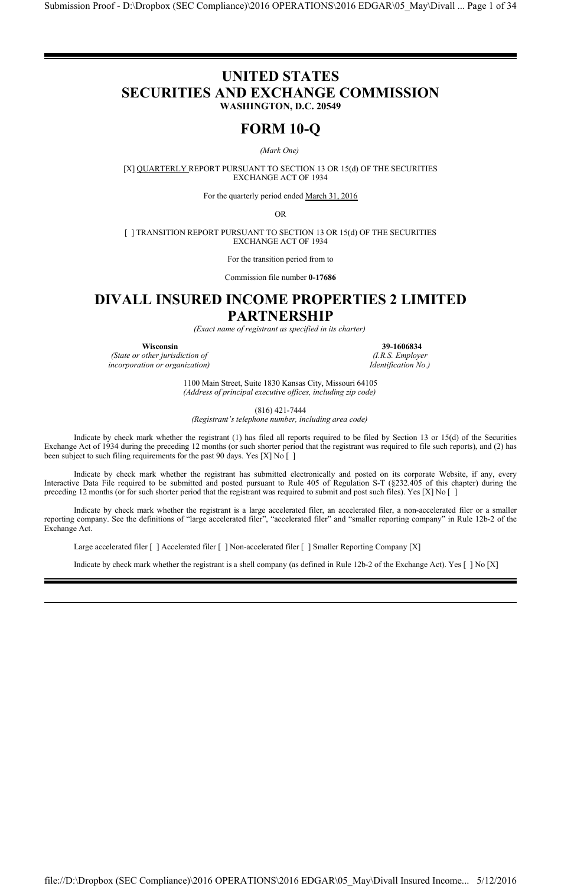# **UNITED STATES SECURITIES AND EXCHANGE COMMISSION WASHINGTON, D.C. 20549**

# **FORM 10-Q**

*(Mark One)*

[X] QUARTERLY REPORT PURSUANT TO SECTION 13 OR 15(d) OF THE SECURITIES EXCHANGE ACT OF 1934

For the quarterly period ended March 31, 2016

OR

[ ] TRANSITION REPORT PURSUANT TO SECTION 13 OR 15(d) OF THE SECURITIES EXCHANGE ACT OF 1934

For the transition period from to

Commission file number **0-17686**

# **DIVALL INSURED INCOME PROPERTIES 2 LIMITED PARTNERSHIP**

*(Exact name of registrant as specified in its charter)*

*(State or other jurisdiction of (I.R.S. Employer incorporation or organization) Identification No.)*

**Wisconsin 39-1606834**

1100 Main Street, Suite 1830 Kansas City, Missouri 64105 *(Address of principal executive offices, including zip code)*

(816) 421-7444

*(Registrant's telephone number, including area code)*

Indicate by check mark whether the registrant (1) has filed all reports required to be filed by Section 13 or 15(d) of the Securities Exchange Act of 1934 during the preceding 12 months (or such shorter period that the registrant was required to file such reports), and (2) has been subject to such filing requirements for the past 90 days. Yes [X] No []

Indicate by check mark whether the registrant has submitted electronically and posted on its corporate Website, if any, every Interactive Data File required to be submitted and posted pursuant to Rule 405 of Regulation S-T (§232.405 of this chapter) during the preceding 12 months (or for such shorter period that the registrant was required to submit and post such files). Yes [X] No []

Indicate by check mark whether the registrant is a large accelerated filer, an accelerated filer, a non-accelerated filer or a smaller reporting company. See the definitions of "large accelerated filer", "accelerated filer" and "smaller reporting company" in Rule 12b-2 of the Exchange Act.

Large accelerated filer [ ] Accelerated filer [ ] Non-accelerated filer [ ] Smaller Reporting Company [X]

Indicate by check mark whether the registrant is a shell company (as defined in Rule 12b-2 of the Exchange Act). Yes [ ] No [X]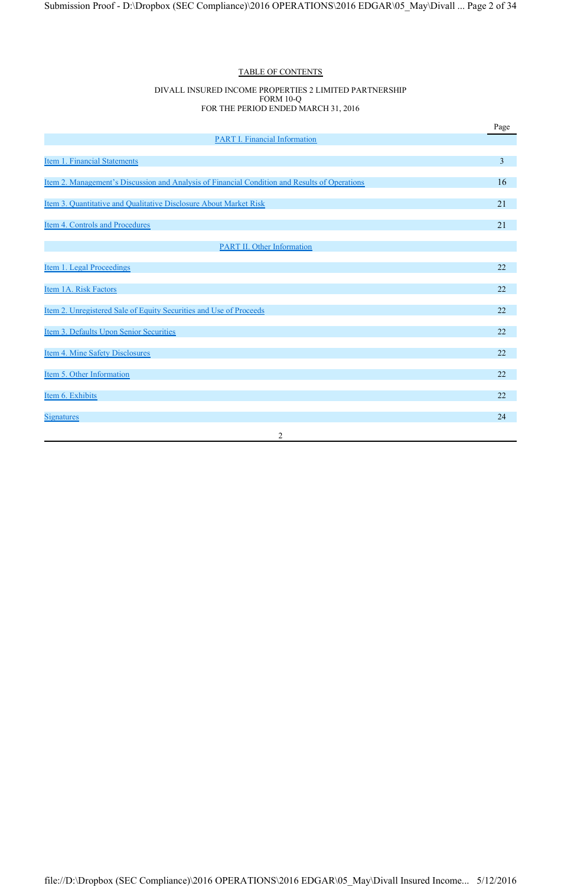## TABLE OF CONTENTS

#### DIVALL INSURED INCOME PROPERTIES 2 LIMITED PARTNERSHIP FORM 10-Q FOR THE PERIOD ENDED MARCH 31, 2016

|                                                                                               | Page                    |
|-----------------------------------------------------------------------------------------------|-------------------------|
| <b>PART I. Financial Information</b>                                                          |                         |
| Item 1. Financial Statements                                                                  | $\overline{\mathbf{3}}$ |
| Item 2. Management's Discussion and Analysis of Financial Condition and Results of Operations | 16                      |
| Item 3. Quantitative and Qualitative Disclosure About Market Risk                             | 21                      |
| Item 4. Controls and Procedures                                                               | 21                      |
| <b>PART II. Other Information</b>                                                             |                         |
|                                                                                               |                         |
| Item 1. Legal Proceedings                                                                     | 22                      |
| Item 1A. Risk Factors                                                                         | 22                      |
| Item 2. Unregistered Sale of Equity Securities and Use of Proceeds                            | 22                      |
| Item 3. Defaults Upon Senior Securities                                                       | 22                      |
| Item 4. Mine Safety Disclosures                                                               | 22                      |
| Item 5. Other Information                                                                     | 22                      |
| Item 6. Exhibits                                                                              | 22                      |
| <b>Signatures</b>                                                                             | 24                      |
| $\overline{2}$                                                                                |                         |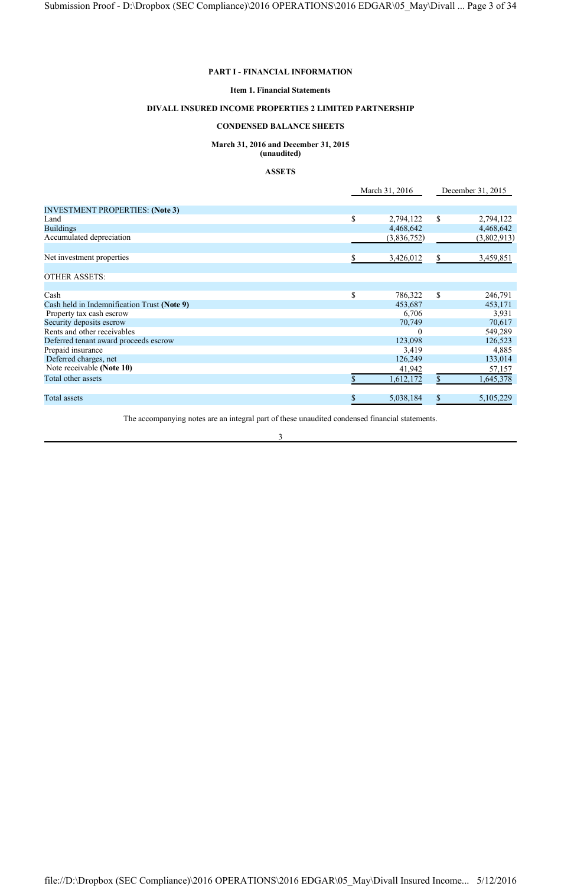#### **PART I - FINANCIAL INFORMATION**

#### **Item 1. Financial Statements**

#### **DIVALL INSURED INCOME PROPERTIES 2 LIMITED PARTNERSHIP**

## **CONDENSED BALANCE SHEETS**

#### **March 31, 2016 and December 31, 2015 (unaudited)**

# **ASSETS**

## March 31, 2016 December 31, 2015 INVESTMENT PROPERTIES: **(Note 3)** Land 5 2,794,122 5 2,794,122 Buildings 4,468,642 4,468,642 Accumulated depreciation (3,802,913) (3,802,913) Net investment properties  $\frac{1}{2}$  3,426,012  $\frac{1}{2}$  3,459,851 OTHER ASSETS: Cash \$ 786,322 \$ 246,791 Cash held in Indemnification Trust (Note 9) 453,687 453,171<br>Property tax cash escrow 6,706 453,171 Property tax cash escrow 6,706 3,931<br>Security deposits escrow 6,706 3,931 Security deposits escrow 70,749 70,617<br>
Rents and other receivables 60 70,749 70,617 Rents and other receivables and other receivables and other receivables before the stress of the stress of the stress of the stress of the stress of the stress of the stress of the stress of the stress of the stress of the Deferred tenant award proceeds escrow 123,098 126,523<br>Prepaid insurance 126,523 126,523 126,523 126,523 126,523 126,523 126,523 126,523 126,523 126,523 126,523 126,523 Prepaid insurance 3,419 4,885<br>Deferred charges, net 126,249 133,014 Deferred charges, net 126,249<br>Note receivable (Note 10) 134,249 Note receivable **(Note 10)** 41,942 57,157<br>Total other assets 5 1.645.378 Total other assets  $\frac{\$}{1,612,172}$   $\frac{\$}{1,645,378}$ Total assets  $\frac{1}{3}$  5,038,184  $\frac{1}{3}$  5,038,184  $\frac{1}{3}$  5,105,229

The accompanying notes are an integral part of these unaudited condensed financial statements.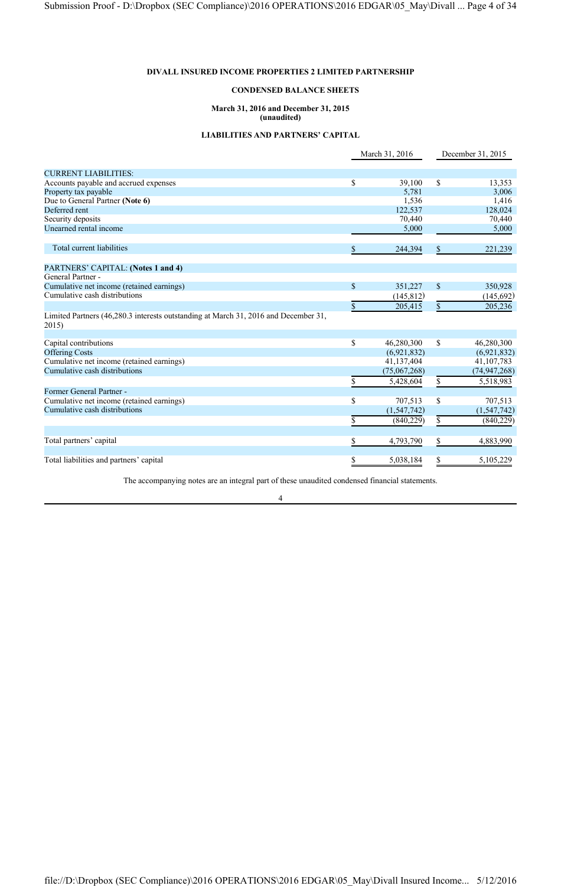## **CONDENSED BALANCE SHEETS**

#### **March 31, 2016 and December 31, 2015 (unaudited)**

#### **LIABILITIES AND PARTNERS' CAPITAL**

|                                                                                              |                    | March 31, 2016 |               | December 31, 2015 |
|----------------------------------------------------------------------------------------------|--------------------|----------------|---------------|-------------------|
| <b>CURRENT LIABILITIES:</b>                                                                  |                    |                |               |                   |
| Accounts payable and accrued expenses                                                        | \$                 | 39,100         | \$            | 13,353            |
| Property tax payable                                                                         |                    | 5,781          |               | 3,006             |
| Due to General Partner (Note 6)                                                              |                    | 1,536          |               | 1,416             |
| Deferred rent                                                                                |                    | 122,537        |               | 128,024           |
| Security deposits                                                                            |                    | 70,440         |               | 70,440            |
| Unearned rental income                                                                       |                    | 5,000          |               | 5,000             |
| Total current liabilities                                                                    | \$                 | 244,394        | \$            | 221,239           |
| PARTNERS' CAPITAL: (Notes 1 and 4)                                                           |                    |                |               |                   |
| General Partner -                                                                            |                    |                |               |                   |
| Cumulative net income (retained earnings)                                                    | $\mathbf{\hat{S}}$ | 351,227        | $\mathcal{S}$ | 350,928           |
| Cumulative cash distributions                                                                |                    | (145, 812)     |               | (145, 692)        |
|                                                                                              | \$                 | 205,415        | \$            | 205,236           |
| Limited Partners (46,280.3 interests outstanding at March 31, 2016 and December 31,<br>2015) |                    |                |               |                   |
| Capital contributions                                                                        | \$                 | 46,280,300     | \$            | 46,280,300        |
| <b>Offering Costs</b>                                                                        |                    | (6,921,832)    |               | (6,921,832)       |
| Cumulative net income (retained earnings)                                                    |                    | 41,137,404     |               | 41, 107, 783      |
| Cumulative cash distributions                                                                |                    | (75,067,268)   |               | (74, 947, 268)    |
|                                                                                              | S                  | 5,428,604      | \$            | 5,518,983         |
| Former General Partner -                                                                     |                    |                |               |                   |
| Cumulative net income (retained earnings)                                                    | \$                 | 707,513        | \$            | 707,513           |
| Cumulative cash distributions                                                                |                    | (1, 547, 742)  |               | (1, 547, 742)     |
|                                                                                              | \$                 | (840, 229)     | \$            | (840, 229)        |
| Total partners' capital                                                                      | \$                 | 4,793,790      | \$            | 4,883,990         |
| Total liabilities and partners' capital                                                      | \$                 | 5,038,184      | \$            | 5,105,229         |
|                                                                                              |                    |                |               |                   |

The accompanying notes are an integral part of these unaudited condensed financial statements.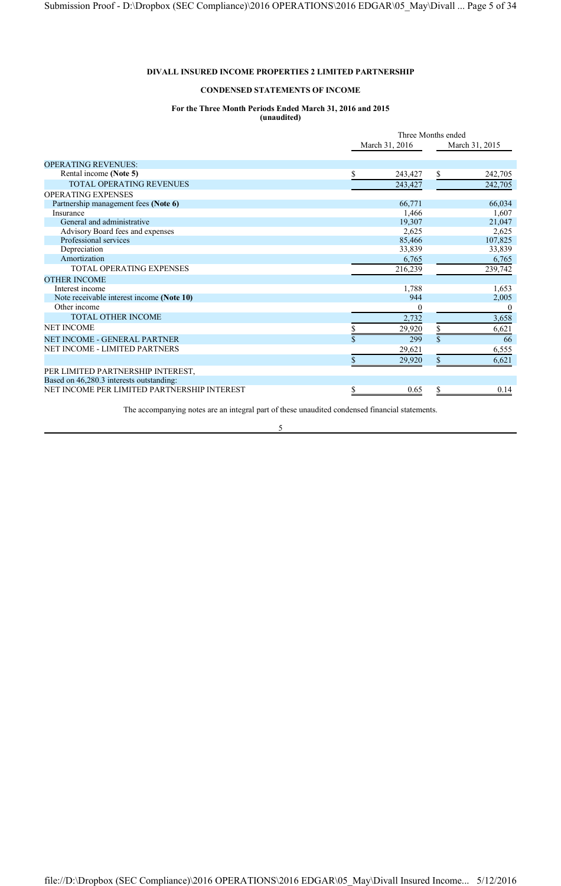## **CONDENSED STATEMENTS OF INCOME**

## **For the Three Month Periods Ended March 31, 2016 and 2015**

**(unaudited)**

|                                             |                | Three Months ended |                |          |
|---------------------------------------------|----------------|--------------------|----------------|----------|
|                                             | March 31, 2016 |                    | March 31, 2015 |          |
| <b>OPERATING REVENUES:</b>                  |                |                    |                |          |
| Rental income (Note 5)                      |                | 243,427            | \$             | 242,705  |
| <b>TOTAL OPERATING REVENUES</b>             |                | 243,427            |                | 242,705  |
| OPERATING EXPENSES                          |                |                    |                |          |
| Partnership management fees (Note 6)        |                | 66,771             |                | 66,034   |
| Insurance                                   |                | 1,466              |                | 1,607    |
| General and administrative                  |                | 19,307             |                | 21,047   |
| Advisory Board fees and expenses            |                | 2,625              |                | 2,625    |
| Professional services                       |                | 85,466             |                | 107,825  |
| Depreciation                                |                | 33,839             |                | 33,839   |
| Amortization                                |                | 6,765              |                | 6,765    |
| TOTAL OPERATING EXPENSES                    |                | 216,239            |                | 239,742  |
| <b>OTHER INCOME</b>                         |                |                    |                |          |
| Interest income                             |                | 1,788              |                | 1,653    |
| Note receivable interest income (Note 10)   |                | 944                |                | 2,005    |
| Other income                                |                | $\theta$           |                | $\theta$ |
| TOTAL OTHER INCOME                          |                | 2,732              |                | 3,658    |
| <b>NET INCOME</b>                           |                | 29,920             | \$             | 6,621    |
| NET INCOME - GENERAL PARTNER                |                | 299                | $\mathbf S$    | 66       |
| NET INCOME - LIMITED PARTNERS               |                | 29,621             |                | 6,555    |
|                                             | S.             | 29,920             | \$             | 6,621    |
| PER LIMITED PARTNERSHIP INTEREST,           |                |                    |                |          |
| Based on 46,280.3 interests outstanding:    |                |                    |                |          |
| NET INCOME PER LIMITED PARTNERSHIP INTEREST | S              | 0.65               | \$             | 0.14     |

The accompanying notes are an integral part of these unaudited condensed financial statements.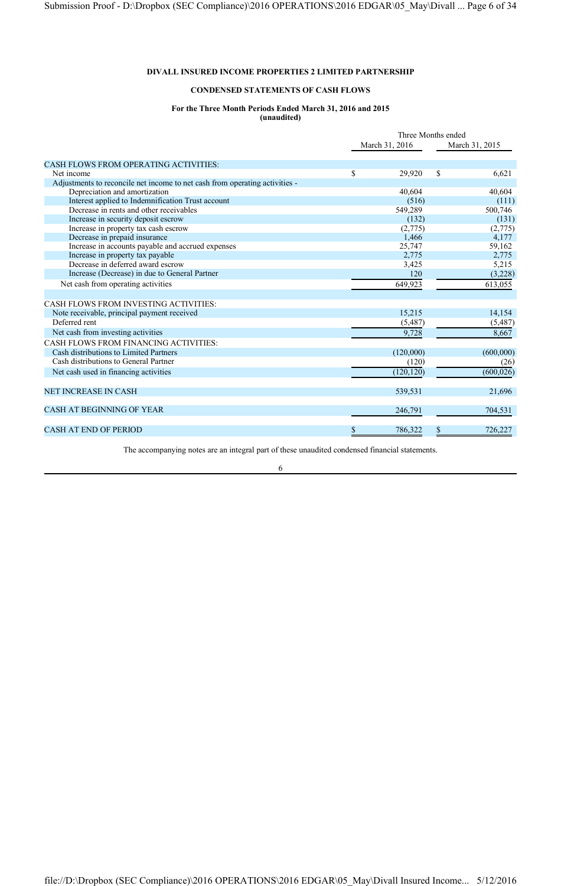## **CONDENSED STATEMENTS OF CASH FLOWS**

## **For the Three Month Periods Ended March 31, 2016 and 2015**

**(unaudited)**

|                                                                             | Three Months ended |                |                        |
|-----------------------------------------------------------------------------|--------------------|----------------|------------------------|
|                                                                             |                    | March 31, 2016 | March 31, 2015         |
| <b>CASH FLOWS FROM OPERATING ACTIVITIES:</b>                                |                    |                |                        |
| Net income                                                                  | \$                 | 29,920         | \$<br>6,621            |
| Adjustments to reconcile net income to net cash from operating activities - |                    |                |                        |
| Depreciation and amortization                                               |                    | 40,604         | 40,604                 |
| Interest applied to Indemnification Trust account                           |                    | (516)          | (111)                  |
| Decrease in rents and other receivables                                     |                    | 549,289        | 500,746                |
| Increase in security deposit escrow                                         |                    | (132)          | (131)                  |
| Increase in property tax cash escrow                                        |                    | (2,775)        | (2,775)                |
| Decrease in prepaid insurance                                               |                    | 1,466          | 4,177                  |
| Increase in accounts payable and accrued expenses                           |                    | 25,747         | 59,162                 |
| Increase in property tax payable                                            |                    | 2,775          | 2,775                  |
| Decrease in deferred award escrow                                           |                    | 3,425          | 5,215                  |
| Increase (Decrease) in due to General Partner                               |                    | 120            | (3,228)                |
| Net cash from operating activities                                          |                    | 649,923        | 613,055                |
| CASH FLOWS FROM INVESTING ACTIVITIES:                                       |                    |                |                        |
| Note receivable, principal payment received                                 |                    | 15,215         | 14,154                 |
| Deferred rent                                                               |                    | (5,487)        | (5, 487)               |
| Net cash from investing activities                                          |                    | 9,728          | 8,667                  |
| CASH FLOWS FROM FINANCING ACTIVITIES:                                       |                    |                |                        |
| Cash distributions to Limited Partners                                      |                    | (120,000)      | (600,000)              |
| Cash distributions to General Partner                                       |                    | (120)          | (26)                   |
| Net cash used in financing activities                                       |                    | (120, 120)     | $\overline{(600,026)}$ |
| <b>NET INCREASE IN CASH</b>                                                 |                    |                | 21,696                 |
|                                                                             |                    | 539,531        |                        |
| CASH AT BEGINNING OF YEAR                                                   |                    | 246,791        | 704,531                |
| <b>CASH AT END OF PERIOD</b>                                                | \$                 | 786,322        | \$<br>726,227          |

The accompanying notes are an integral part of these unaudited condensed financial statements.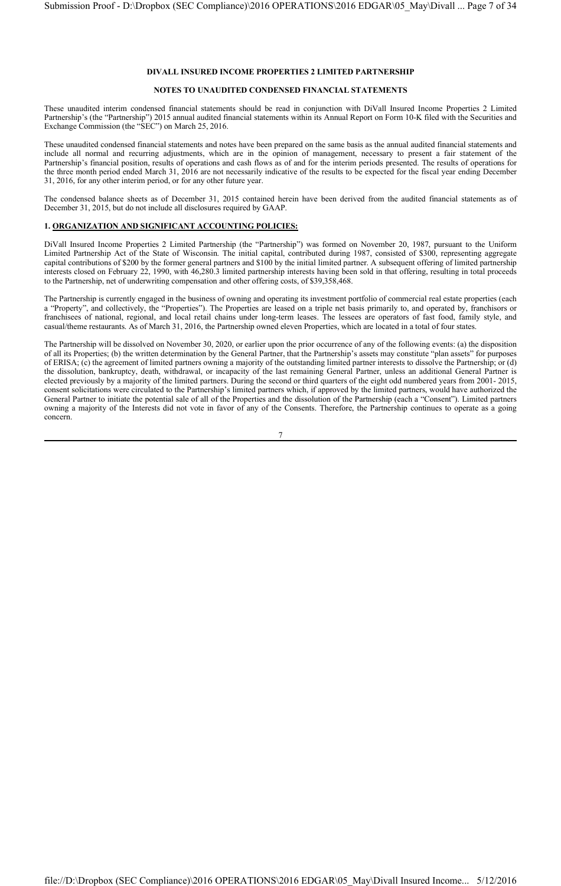#### **NOTES TO UNAUDITED CONDENSED FINANCIAL STATEMENTS**

These unaudited interim condensed financial statements should be read in conjunction with DiVall Insured Income Properties 2 Limited Partnership's (the "Partnership") 2015 annual audited financial statements within its Annual Report on Form 10-K filed with the Securities and Exchange Commission (the "SEC") on March 25, 2016.

These unaudited condensed financial statements and notes have been prepared on the same basis as the annual audited financial statements and include all normal and recurring adjustments, which are in the opinion of management, necessary to present a fair statement of the Partnership's financial position, results of operations and cash flows as of and for the interim periods presented. The results of operations for the three month period ended March 31, 2016 are not necessarily indicative of the results to be expected for the fiscal year ending December 31, 2016, for any other interim period, or for any other future year.

The condensed balance sheets as of December 31, 2015 contained herein have been derived from the audited financial statements as of December 31, 2015, but do not include all disclosures required by GAAP.

#### **1. ORGANIZATION AND SIGNIFICANT ACCOUNTING POLICIES:**

DiVall Insured Income Properties 2 Limited Partnership (the "Partnership") was formed on November 20, 1987, pursuant to the Uniform Limited Partnership Act of the State of Wisconsin. The initial capital, contributed during 1987, consisted of \$300, representing aggregate capital contributions of \$200 by the former general partners and \$100 by the initial limited partner. A subsequent offering of limited partnership interests closed on February 22, 1990, with 46,280.3 limited partnership interests having been sold in that offering, resulting in total proceeds to the Partnership, net of underwriting compensation and other offering costs, of \$39,358,468.

The Partnership is currently engaged in the business of owning and operating its investment portfolio of commercial real estate properties (each a "Property", and collectively, the "Properties"). The Properties are leased on a triple net basis primarily to, and operated by, franchisors or franchisees of national, regional, and local retail chains under long-term leases. The lessees are operators of fast food, family style, and casual/theme restaurants. As of March 31, 2016, the Partnership owned eleven Properties, which are located in a total of four states.

The Partnership will be dissolved on November 30, 2020, or earlier upon the prior occurrence of any of the following events: (a) the disposition of all its Properties; (b) the written determination by the General Partner, that the Partnership's assets may constitute "plan assets" for purposes of ERISA; (c) the agreement of limited partners owning a majority of the outstanding limited partner interests to dissolve the Partnership; or (d) the dissolution, bankruptcy, death, withdrawal, or incapacity of the last remaining General Partner, unless an additional General Partner is elected previously by a majority of the limited partners. During the second or third quarters of the eight odd numbered years from 2001- 2015, consent solicitations were circulated to the Partnership's limited partners which, if approved by the limited partners, would have authorized the General Partner to initiate the potential sale of all of the Properties and the dissolution of the Partnership (each a "Consent"). Limited partners owning a majority of the Interests did not vote in favor of any of the Consents. Therefore, the Partnership continues to operate as a going concern.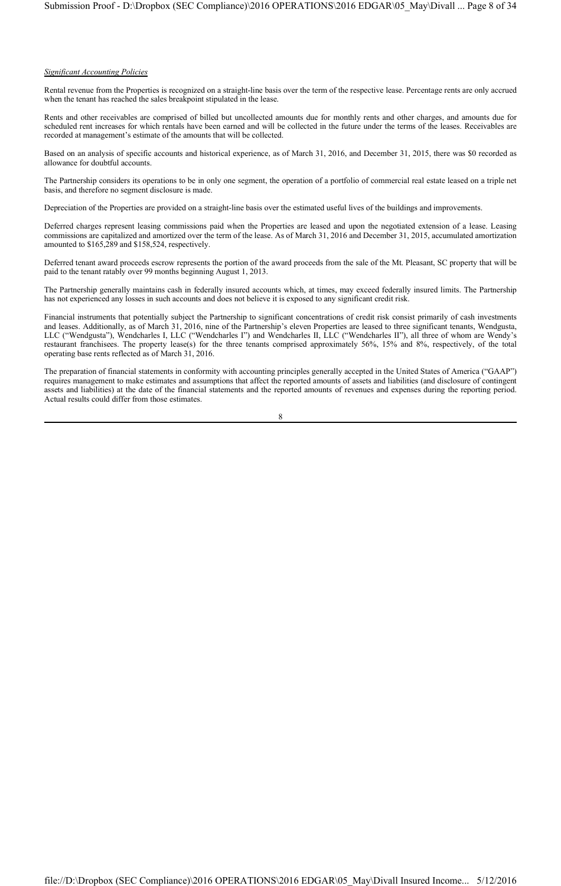#### *Significant Accounting Policies*

Rental revenue from the Properties is recognized on a straight-line basis over the term of the respective lease. Percentage rents are only accrued when the tenant has reached the sales breakpoint stipulated in the lease.

Rents and other receivables are comprised of billed but uncollected amounts due for monthly rents and other charges, and amounts due for scheduled rent increases for which rentals have been earned and will be collected in the future under the terms of the leases. Receivables are recorded at management's estimate of the amounts that will be collected.

Based on an analysis of specific accounts and historical experience, as of March 31, 2016, and December 31, 2015, there was \$0 recorded as allowance for doubtful accounts.

The Partnership considers its operations to be in only one segment, the operation of a portfolio of commercial real estate leased on a triple net basis, and therefore no segment disclosure is made.

Depreciation of the Properties are provided on a straight-line basis over the estimated useful lives of the buildings and improvements.

Deferred charges represent leasing commissions paid when the Properties are leased and upon the negotiated extension of a lease. Leasing commissions are capitalized and amortized over the term of the lease. As of March 31, 2016 and December 31, 2015, accumulated amortization amounted to \$165,289 and \$158,524, respectively.

Deferred tenant award proceeds escrow represents the portion of the award proceeds from the sale of the Mt. Pleasant, SC property that will be paid to the tenant ratably over 99 months beginning August 1, 2013.

The Partnership generally maintains cash in federally insured accounts which, at times, may exceed federally insured limits. The Partnership has not experienced any losses in such accounts and does not believe it is exposed to any significant credit risk.

Financial instruments that potentially subject the Partnership to significant concentrations of credit risk consist primarily of cash investments and leases. Additionally, as of March 31, 2016, nine of the Partnership's eleven Properties are leased to three significant tenants, Wendgusta, LLC ("Wendgusta"), Wendcharles I, LLC ("Wendcharles I") and Wendcharles II, LLC ("Wendcharles II"), all three of whom are Wendy's restaurant franchisees. The property lease(s) for the three tenants comprised approximately 56%, 15% and 8%, respectively, of the total operating base rents reflected as of March 31, 2016.

The preparation of financial statements in conformity with accounting principles generally accepted in the United States of America ("GAAP") requires management to make estimates and assumptions that affect the reported amounts of assets and liabilities (and disclosure of contingent assets and liabilities) at the date of the financial statements and the reported amounts of revenues and expenses during the reporting period. Actual results could differ from those estimates.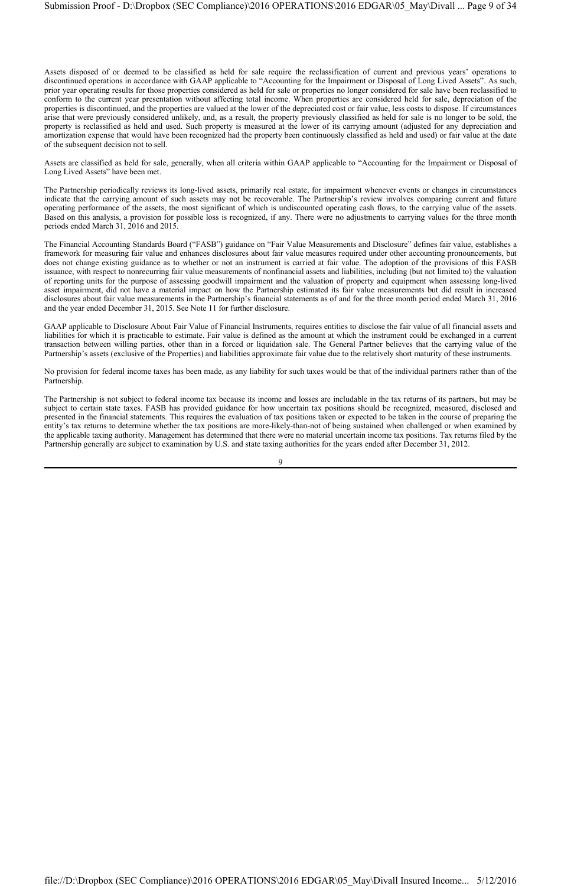Assets disposed of or deemed to be classified as held for sale require the reclassification of current and previous years' operations to discontinued operations in accordance with GAAP applicable to "Accounting for the Impairment or Disposal of Long Lived Assets". As such, prior year operating results for those properties considered as held for sale or properties no longer considered for sale have been reclassified to conform to the current year presentation without affecting total income. When properties are considered held for sale, depreciation of the properties is discontinued, and the properties are valued at the lower of the depreciated cost or fair value, less costs to dispose. If circumstances arise that were previously considered unlikely, and, as a result, the property previously classified as held for sale is no longer to be sold, the property is reclassified as held and used. Such property is measured at the lower of its carrying amount (adjusted for any depreciation and amortization expense that would have been recognized had the property been continuously classified as held and used) or fair value at the date of the subsequent decision not to sell.

Assets are classified as held for sale, generally, when all criteria within GAAP applicable to "Accounting for the Impairment or Disposal of Long Lived Assets" have been met.

The Partnership periodically reviews its long-lived assets, primarily real estate, for impairment whenever events or changes in circumstances indicate that the carrying amount of such assets may not be recoverable. The Partnership's review involves comparing current and future operating performance of the assets, the most significant of which is undiscounted operating cash flows, to the carrying value of the assets. Based on this analysis, a provision for possible loss is recognized, if any. There were no adjustments to carrying values for the three month periods ended March 31, 2016 and 2015.

The Financial Accounting Standards Board ("FASB") guidance on "Fair Value Measurements and Disclosure" defines fair value, establishes a framework for measuring fair value and enhances disclosures about fair value measures required under other accounting pronouncements, but does not change existing guidance as to whether or not an instrument is carried at fair value. The adoption of the provisions of this FASB issuance, with respect to nonrecurring fair value measurements of nonfinancial assets and liabilities, including (but not limited to) the valuation of reporting units for the purpose of assessing goodwill impairment and the valuation of property and equipment when assessing long-lived asset impairment, did not have a material impact on how the Partnership estimated its fair value measurements but did result in increased disclosures about fair value measurements in the Partnership's financial statements as of and for the three month period ended March 31, 2016 and the year ended December 31, 2015. See Note 11 for further disclosure.

GAAP applicable to Disclosure About Fair Value of Financial Instruments, requires entities to disclose the fair value of all financial assets and liabilities for which it is practicable to estimate. Fair value is defined as the amount at which the instrument could be exchanged in a current transaction between willing parties, other than in a forced or liquidation sale. The General Partner believes that the carrying value of the Partnership's assets (exclusive of the Properties) and liabilities approximate fair value due to the relatively short maturity of these instruments.

No provision for federal income taxes has been made, as any liability for such taxes would be that of the individual partners rather than of the Partnership.

The Partnership is not subject to federal income tax because its income and losses are includable in the tax returns of its partners, but may be subject to certain state taxes. FASB has provided guidance for how uncertain tax positions should be recognized, measured, disclosed and presented in the financial statements. This requires the evaluation of tax positions taken or expected to be taken in the course of preparing the entity's tax returns to determine whether the tax positions are more-likely-than-not of being sustained when challenged or when examined by the applicable taxing authority. Management has determined that there were no material uncertain income tax positions. Tax returns filed by the Partnership generally are subject to examination by U.S. and state taxing authorities for the years ended after December 31, 2012.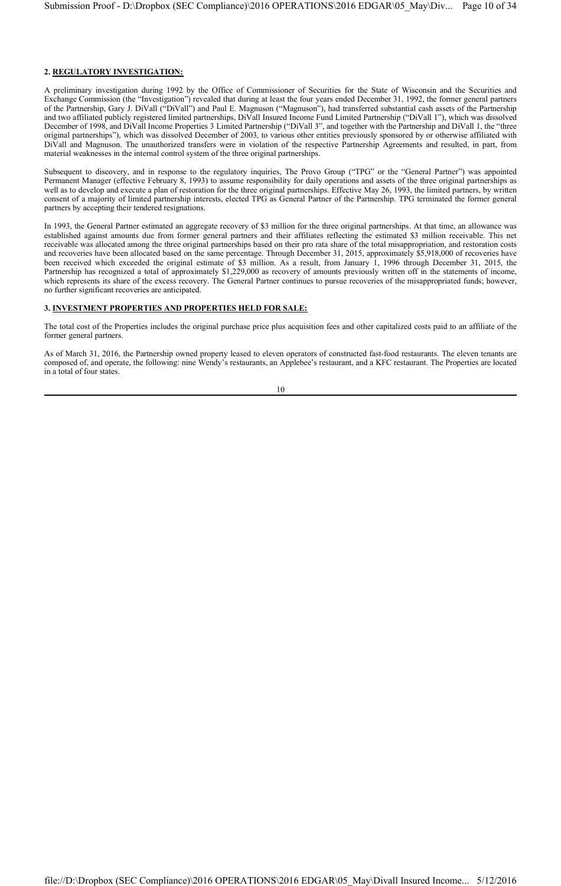## **2. REGULATORY INVESTIGATION:**

A preliminary investigation during 1992 by the Office of Commissioner of Securities for the State of Wisconsin and the Securities and Exchange Commission (the "Investigation") revealed that during at least the four years ended December 31, 1992, the former general partners of the Partnership, Gary J. DiVall ("DiVall") and Paul E. Magnuson ("Magnuson"), had transferred substantial cash assets of the Partnership and two affiliated publicly registered limited partnerships, DiVall Insured Income Fund Limited Partnership ("DiVall 1"), which was dissolved December of 1998, and DiVall Income Properties 3 Limited Partnership ("DiVall 3", and together with the Partnership and DiVall 1, the "three original partnerships"), which was dissolved December of 2003, to various other entities previously sponsored by or otherwise affiliated with DiVall and Magnuson. The unauthorized transfers were in violation of the respective Partnership Agreements and resulted, in part, from material weaknesses in the internal control system of the three original partnerships.

Subsequent to discovery, and in response to the regulatory inquiries, The Provo Group ("TPG" or the "General Partner") was appointed Permanent Manager (effective February 8, 1993) to assume responsibility for daily operations and assets of the three original partnerships as well as to develop and execute a plan of restoration for the three original partnerships. Effective May 26, 1993, the limited partners, by written consent of a majority of limited partnership interests, elected TPG as General Partner of the Partnership. TPG terminated the former general partners by accepting their tendered resignations.

In 1993, the General Partner estimated an aggregate recovery of \$3 million for the three original partnerships. At that time, an allowance was established against amounts due from former general partners and their affiliates reflecting the estimated \$3 million receivable. This net receivable was allocated among the three original partnerships based on their pro rata share of the total misappropriation, and restoration costs and recoveries have been allocated based on the same percentage. Through December 31, 2015, approximately \$5,918,000 of recoveries have been received which exceeded the original estimate of \$3 million. As a result, from January 1, 1996 through December 31, 2015, the Partnership has recognized a total of approximately \$1,229,000 as recovery of amounts previously written off in the statements of income, which represents its share of the excess recovery. The General Partner continues to pursue recoveries of the misappropriated funds; however, no further significant recoveries are anticipated.

## **3. INVESTMENT PROPERTIES AND PROPERTIES HELD FOR SALE:**

The total cost of the Properties includes the original purchase price plus acquisition fees and other capitalized costs paid to an affiliate of the former general partners.

As of March 31, 2016, the Partnership owned property leased to eleven operators of constructed fast-food restaurants. The eleven tenants are composed of, and operate, the following: nine Wendy's restaurants, an Applebee's restaurant, and a KFC restaurant. The Properties are located in a total of four states.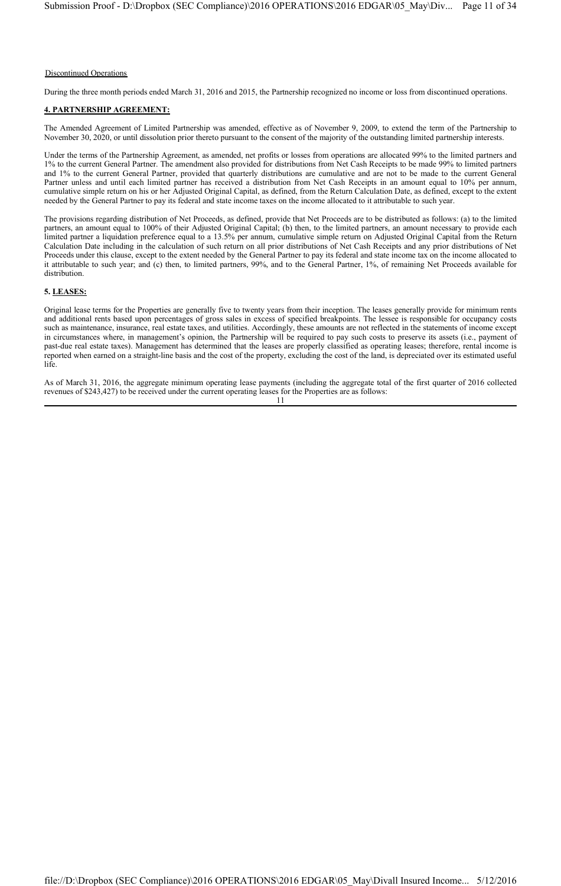#### Discontinued Operations

During the three month periods ended March 31, 2016 and 2015, the Partnership recognized no income or loss from discontinued operations.

## **4. PARTNERSHIP AGREEMENT:**

The Amended Agreement of Limited Partnership was amended, effective as of November 9, 2009, to extend the term of the Partnership to November 30, 2020, or until dissolution prior thereto pursuant to the consent of the majority of the outstanding limited partnership interests.

Under the terms of the Partnership Agreement, as amended, net profits or losses from operations are allocated 99% to the limited partners and 1% to the current General Partner. The amendment also provided for distributions from Net Cash Receipts to be made 99% to limited partners and 1% to the current General Partner, provided that quarterly distributions are cumulative and are not to be made to the current General Partner unless and until each limited partner has received a distribution from Net Cash Receipts in an amount equal to 10% per annum, cumulative simple return on his or her Adjusted Original Capital, as defined, from the Return Calculation Date, as defined, except to the extent needed by the General Partner to pay its federal and state income taxes on the income allocated to it attributable to such year.

The provisions regarding distribution of Net Proceeds, as defined, provide that Net Proceeds are to be distributed as follows: (a) to the limited partners, an amount equal to 100% of their Adjusted Original Capital; (b) then, to the limited partners, an amount necessary to provide each limited partner a liquidation preference equal to a 13.5% per annum, cumulative simple return on Adjusted Original Capital from the Return Calculation Date including in the calculation of such return on all prior distributions of Net Cash Receipts and any prior distributions of Net Proceeds under this clause, except to the extent needed by the General Partner to pay its federal and state income tax on the income allocated to it attributable to such year; and (c) then, to limited partners, 99%, and to the General Partner, 1%, of remaining Net Proceeds available for distribution.

## **5. LEASES:**

Original lease terms for the Properties are generally five to twenty years from their inception. The leases generally provide for minimum rents and additional rents based upon percentages of gross sales in excess of specified breakpoints. The lessee is responsible for occupancy costs such as maintenance, insurance, real estate taxes, and utilities. Accordingly, these amounts are not reflected in the statements of income except in circumstances where, in management's opinion, the Partnership will be required to pay such costs to preserve its assets (i.e., payment of past-due real estate taxes). Management has determined that the leases are properly classified as operating leases; therefore, rental income is reported when earned on a straight-line basis and the cost of the property, excluding the cost of the land, is depreciated over its estimated useful life.

As of March 31, 2016, the aggregate minimum operating lease payments (including the aggregate total of the first quarter of 2016 collected revenues of \$243,427) to be received under the current operating leases for the Properties are as follows: 11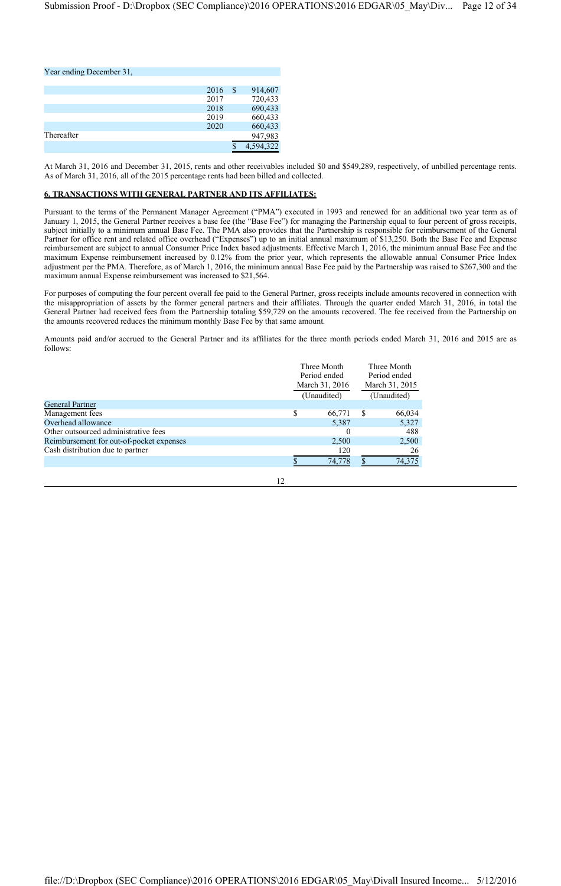## Year ending December 31,

|            | 2016 | S. | 914,607   |
|------------|------|----|-----------|
|            | 2017 |    | 720,433   |
|            | 2018 |    | 690,433   |
|            | 2019 |    | 660,433   |
|            | 2020 |    | 660,433   |
| Thereafter |      |    | 947,983   |
|            |      |    | 4,594,322 |

At March 31, 2016 and December 31, 2015, rents and other receivables included \$0 and \$549,289, respectively, of unbilled percentage rents. As of March 31, 2016, all of the 2015 percentage rents had been billed and collected.

## **6. TRANSACTIONS WITH GENERAL PARTNER AND ITS AFFILIATES:**

Pursuant to the terms of the Permanent Manager Agreement ("PMA") executed in 1993 and renewed for an additional two year term as of January 1, 2015, the General Partner receives a base fee (the "Base Fee") for managing the Partnership equal to four percent of gross receipts, subject initially to a minimum annual Base Fee. The PMA also provides that the Partnership is responsible for reimbursement of the General Partner for office rent and related office overhead ("Expenses") up to an initial annual maximum of \$13,250. Both the Base Fee and Expense reimbursement are subject to annual Consumer Price Index based adjustments. Effective March 1, 2016, the minimum annual Base Fee and the maximum Expense reimbursement increased by 0.12% from the prior year, which represents the allowable annual Consumer Price Index adjustment per the PMA. Therefore, as of March 1, 2016, the minimum annual Base Fee paid by the Partnership was raised to \$267,300 and the maximum annual Expense reimbursement was increased to \$21,564.

For purposes of computing the four percent overall fee paid to the General Partner, gross receipts include amounts recovered in connection with the misappropriation of assets by the former general partners and their affiliates. Through the quarter ended March 31, 2016, in total the General Partner had received fees from the Partnership totaling \$59,729 on the amounts recovered. The fee received from the Partnership on the amounts recovered reduces the minimum monthly Base Fee by that same amount.

Amounts paid and/or accrued to the General Partner and its affiliates for the three month periods ended March 31, 2016 and 2015 are as follows:

|                                          | Three Month<br>Period ended |   | Three Month<br>Period ended |
|------------------------------------------|-----------------------------|---|-----------------------------|
|                                          | March 31, 2016              |   | March 31, 2015              |
|                                          | (Unaudited)                 |   | (Unaudited)                 |
| General Partner                          |                             |   |                             |
| Management fees                          | 66,771                      | S | 66,034                      |
| Overhead allowance                       | 5,387                       |   | 5,327                       |
| Other outsourced administrative fees     | 0                           |   | 488                         |
| Reimbursement for out-of-pocket expenses | 2,500                       |   | 2,500                       |
| Cash distribution due to partner         | 120                         |   | 26                          |
|                                          | 74.778                      |   | 74,375                      |
|                                          |                             |   |                             |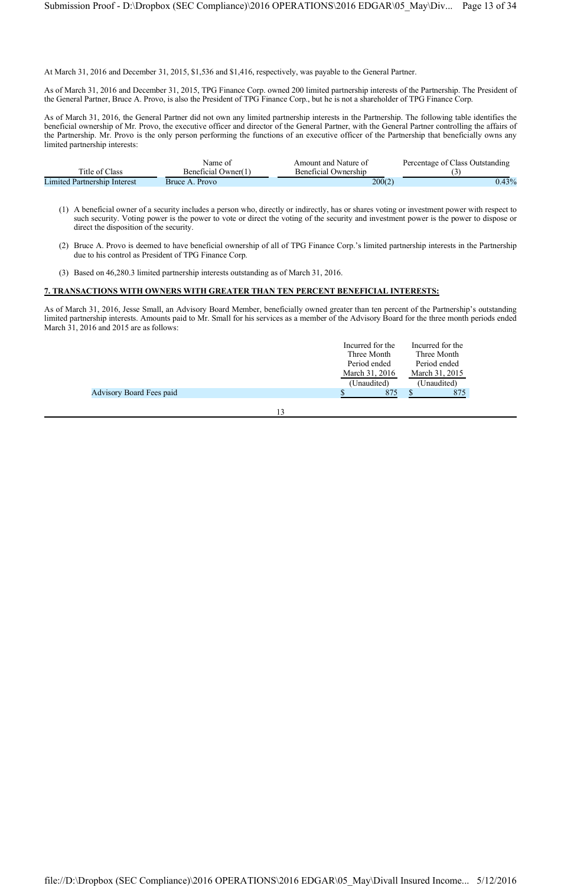At March 31, 2016 and December 31, 2015, \$1,536 and \$1,416, respectively, was payable to the General Partner.

As of March 31, 2016 and December 31, 2015, TPG Finance Corp. owned 200 limited partnership interests of the Partnership. The President of the General Partner, Bruce A. Provo, is also the President of TPG Finance Corp., but he is not a shareholder of TPG Finance Corp.

As of March 31, 2016, the General Partner did not own any limited partnership interests in the Partnership. The following table identifies the beneficial ownership of Mr. Provo, the executive officer and director of the General Partner, with the General Partner controlling the affairs of the Partnership. Mr. Provo is the only person performing the functions of an executive officer of the Partnership that beneficially owns any limited partnership interests:

|                                     | Name of             | Amount and Nature of | Percentage of Class Outstanding |
|-------------------------------------|---------------------|----------------------|---------------------------------|
| Title of Class                      | Beneficial Owner(1) | Beneficial Ownership |                                 |
| <b>Limited Partnership Interest</b> | Bruce A. Provo      | 200(2)               | $0.43\%$                        |

- (1) A beneficial owner of a security includes a person who, directly or indirectly, has or shares voting or investment power with respect to such security. Voting power is the power to vote or direct the voting of the security and investment power is the power to dispose or direct the disposition of the security.
- (2) Bruce A. Provo is deemed to have beneficial ownership of all of TPG Finance Corp.'s limited partnership interests in the Partnership due to his control as President of TPG Finance Corp.
- (3) Based on 46,280.3 limited partnership interests outstanding as of March 31, 2016.

## **7. TRANSACTIONS WITH OWNERS WITH GREATER THAN TEN PERCENT BENEFICIAL INTERESTS:**

As of March 31, 2016, Jesse Small, an Advisory Board Member, beneficially owned greater than ten percent of the Partnership's outstanding limited partnership interests. Amounts paid to Mr. Small for his services as a member of the Advisory Board for the three month periods ended March 31, 2016 and 2015 are as follows:

|                                 | Incurred for the | Incurred for the |
|---------------------------------|------------------|------------------|
|                                 | Three Month      | Three Month      |
|                                 | Period ended     | Period ended     |
|                                 | March 31, 2016   | March 31, 2015   |
|                                 | (Unaudited)      | (Unaudited)      |
| <b>Advisory Board Fees paid</b> | 875              | 875              |
|                                 |                  |                  |
|                                 |                  |                  |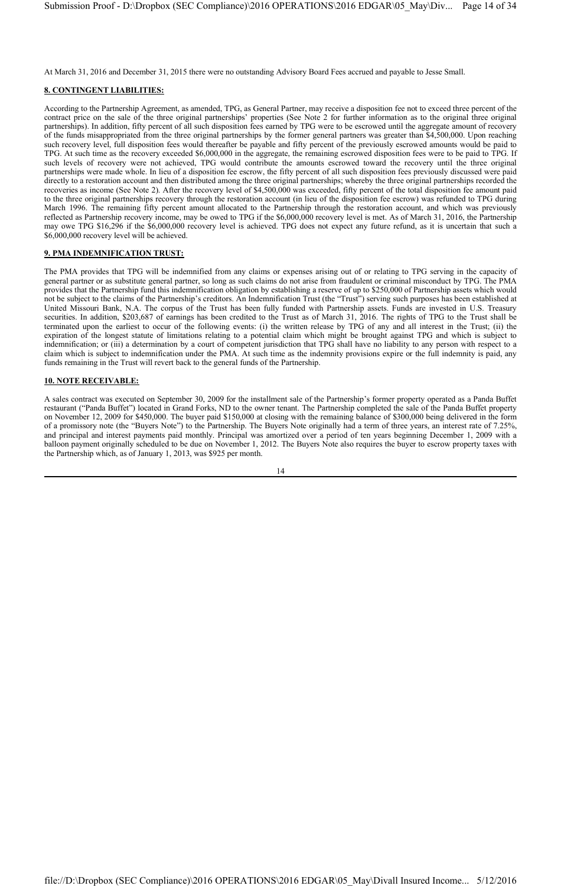At March 31, 2016 and December 31, 2015 there were no outstanding Advisory Board Fees accrued and payable to Jesse Small.

## **8. CONTINGENT LIABILITIES:**

According to the Partnership Agreement, as amended, TPG, as General Partner, may receive a disposition fee not to exceed three percent of the contract price on the sale of the three original partnerships' properties (See Note 2 for further information as to the original three original partnerships). In addition, fifty percent of all such disposition fees earned by TPG were to be escrowed until the aggregate amount of recovery of the funds misappropriated from the three original partnerships by the former general partners was greater than \$4,500,000. Upon reaching such recovery level, full disposition fees would thereafter be payable and fifty percent of the previously escrowed amounts would be paid to TPG. At such time as the recovery exceeded \$6,000,000 in the aggregate, the remaining escrowed disposition fees were to be paid to TPG. If such levels of recovery were not achieved, TPG would contribute the amounts escrowed toward the recovery until the three original partnerships were made whole. In lieu of a disposition fee escrow, the fifty percent of all such disposition fees previously discussed were paid directly to a restoration account and then distributed among the three original partnerships; whereby the three original partnerships recorded the recoveries as income (See Note 2). After the recovery level of \$4,500,000 was exceeded, fifty percent of the total disposition fee amount paid to the three original partnerships recovery through the restoration account (in lieu of the disposition fee escrow) was refunded to TPG during March 1996. The remaining fifty percent amount allocated to the Partnership through the restoration account, and which was previously reflected as Partnership recovery income, may be owed to TPG if the \$6,000,000 recovery level is met. As of March 31, 2016, the Partnership may owe TPG \$16,296 if the \$6,000,000 recovery level is achieved. TPG does not expect any future refund, as it is uncertain that such a \$6,000,000 recovery level will be achieved.

## **9. PMA INDEMNIFICATION TRUST:**

The PMA provides that TPG will be indemnified from any claims or expenses arising out of or relating to TPG serving in the capacity of general partner or as substitute general partner, so long as such claims do not arise from fraudulent or criminal misconduct by TPG. The PMA provides that the Partnership fund this indemnification obligation by establishing a reserve of up to \$250,000 of Partnership assets which would not be subject to the claims of the Partnership's creditors. An Indemnification Trust (the "Trust") serving such purposes has been established at United Missouri Bank, N.A. The corpus of the Trust has been fully funded with Partnership assets. Funds are invested in U.S. Treasury securities. In addition, \$203,687 of earnings has been credited to the Trust as of March 31, 2016. The rights of TPG to the Trust shall be terminated upon the earliest to occur of the following events: (i) the written release by TPG of any and all interest in the Trust; (ii) the expiration of the longest statute of limitations relating to a potential claim which might be brought against TPG and which is subject to indemnification; or (iii) a determination by a court of competent jurisdiction that TPG shall have no liability to any person with respect to a claim which is subject to indemnification under the PMA. At such time as the indemnity provisions expire or the full indemnity is paid, any funds remaining in the Trust will revert back to the general funds of the Partnership.

## **10. NOTE RECEIVABLE:**

A sales contract was executed on September 30, 2009 for the installment sale of the Partnership's former property operated as a Panda Buffet restaurant ("Panda Buffet") located in Grand Forks, ND to the owner tenant. The Partnership completed the sale of the Panda Buffet property on November 12, 2009 for \$450,000. The buyer paid \$150,000 at closing with the remaining balance of \$300,000 being delivered in the form of a promissory note (the "Buyers Note") to the Partnership. The Buyers Note originally had a term of three years, an interest rate of 7.25%, and principal and interest payments paid monthly. Principal was amortized over a period of ten years beginning December 1, 2009 with a balloon payment originally scheduled to be due on November 1, 2012. The Buyers Note also requires the buyer to escrow property taxes with the Partnership which, as of January 1, 2013, was \$925 per month.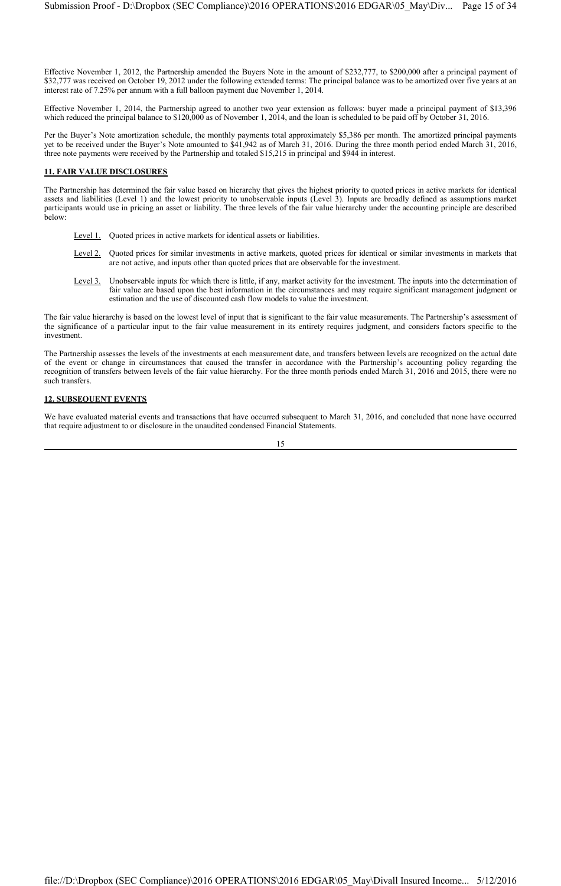Effective November 1, 2012, the Partnership amended the Buyers Note in the amount of \$232,777, to \$200,000 after a principal payment of \$32,777 was received on October 19, 2012 under the following extended terms: The principal balance was to be amortized over five years at an interest rate of 7.25% per annum with a full balloon payment due November 1, 2014.

Effective November 1, 2014, the Partnership agreed to another two year extension as follows: buyer made a principal payment of \$13,396 which reduced the principal balance to \$120,000 as of November 1, 2014, and the loan is scheduled to be paid off by October 31, 2016.

Per the Buyer's Note amortization schedule, the monthly payments total approximately \$5,386 per month. The amortized principal payments yet to be received under the Buyer's Note amounted to \$41,942 as of March 31, 2016. During the three month period ended March 31, 2016, three note payments were received by the Partnership and totaled \$15,215 in principal and \$944 in interest.

## **11. FAIR VALUE DISCLOSURES**

The Partnership has determined the fair value based on hierarchy that gives the highest priority to quoted prices in active markets for identical assets and liabilities (Level 1) and the lowest priority to unobservable inputs (Level 3). Inputs are broadly defined as assumptions market participants would use in pricing an asset or liability. The three levels of the fair value hierarchy under the accounting principle are described below:

- Level 1. Quoted prices in active markets for identical assets or liabilities.
- Level 2. Quoted prices for similar investments in active markets, quoted prices for identical or similar investments in markets that are not active, and inputs other than quoted prices that are observable for the investment.
- Level 3. Unobservable inputs for which there is little, if any, market activity for the investment. The inputs into the determination of fair value are based upon the best information in the circumstances and may require significant management judgment or estimation and the use of discounted cash flow models to value the investment.

The fair value hierarchy is based on the lowest level of input that is significant to the fair value measurements. The Partnership's assessment of the significance of a particular input to the fair value measurement in its entirety requires judgment, and considers factors specific to the investment.

The Partnership assesses the levels of the investments at each measurement date, and transfers between levels are recognized on the actual date of the event or change in circumstances that caused the transfer in accordance with the Partnership's accounting policy regarding the recognition of transfers between levels of the fair value hierarchy. For the three month periods ended March 31, 2016 and 2015, there were no such transfers.

## **12. SUBSEQUENT EVENTS**

We have evaluated material events and transactions that have occurred subsequent to March 31, 2016, and concluded that none have occurred that require adjustment to or disclosure in the unaudited condensed Financial Statements.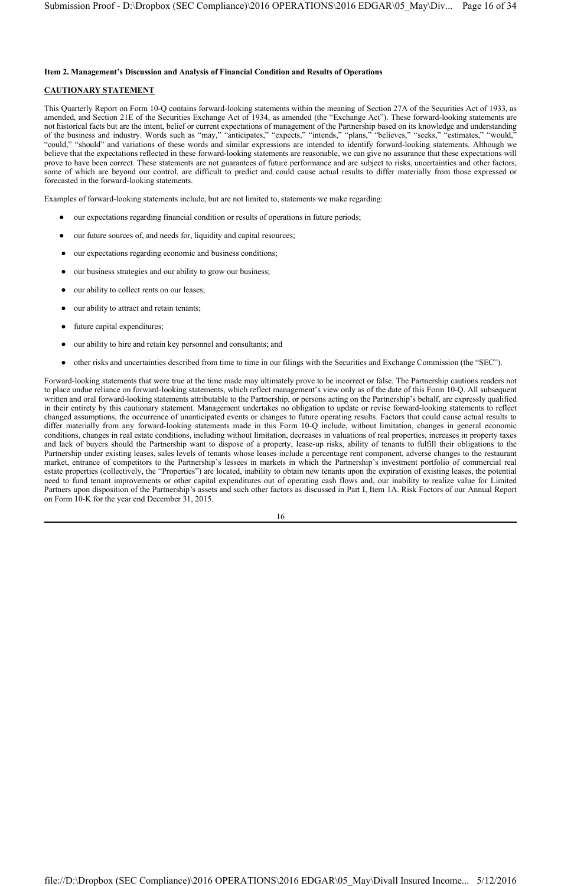#### **Item 2. Management's Discussion and Analysis of Financial Condition and Results of Operations**

#### **CAUTIONARY STATEMENT**

This Quarterly Report on Form 10-Q contains forward-looking statements within the meaning of Section 27A of the Securities Act of 1933, as amended, and Section 21E of the Securities Exchange Act of 1934, as amended (the "Exchange Act"). These forward-looking statements are not historical facts but are the intent, belief or current expectations of management of the Partnership based on its knowledge and understanding of the business and industry. Words such as "may," "anticipates," "expects," "intends," "plans," "believes," "seeks," "estimates," "would," "could," "should" and variations of these words and similar expressions are intended to identify forward-looking statements. Although we believe that the expectations reflected in these forward-looking statements are reasonable, we can give no assurance that these expectations will prove to have been correct. These statements are not guarantees of future performance and are subject to risks, uncertainties and other factors, some of which are beyond our control, are difficult to predict and could cause actual results to differ materially from those expressed or forecasted in the forward-looking statements.

Examples of forward-looking statements include, but are not limited to, statements we make regarding:

- our expectations regarding financial condition or results of operations in future periods;
- our future sources of, and needs for, liquidity and capital resources;
- our expectations regarding economic and business conditions;
- our business strategies and our ability to grow our business;
- our ability to collect rents on our leases;
- our ability to attract and retain tenants;
- future capital expenditures;
- our ability to hire and retain key personnel and consultants; and
- other risks and uncertainties described from time to time in our filings with the Securities and Exchange Commission (the "SEC").

Forward-looking statements that were true at the time made may ultimately prove to be incorrect or false. The Partnership cautions readers not to place undue reliance on forward-looking statements, which reflect management's view only as of the date of this Form 10-Q. All subsequent written and oral forward-looking statements attributable to the Partnership, or persons acting on the Partnership's behalf, are expressly qualified in their entirety by this cautionary statement. Management undertakes no obligation to update or revise forward-looking statements to reflect changed assumptions, the occurrence of unanticipated events or changes to future operating results. Factors that could cause actual results to differ materially from any forward-looking statements made in this Form 10-Q include, without limitation, changes in general economic conditions, changes in real estate conditions, including without limitation, decreases in valuations of real properties, increases in property taxes and lack of buyers should the Partnership want to dispose of a property, lease-up risks, ability of tenants to fulfill their obligations to the Partnership under existing leases, sales levels of tenants whose leases include a percentage rent component, adverse changes to the restaurant market, entrance of competitors to the Partnership's lessees in markets in which the Partnership's investment portfolio of commercial real estate properties (collectively, the "Properties") are located, inability to obtain new tenants upon the expiration of existing leases, the potential need to fund tenant improvements or other capital expenditures out of operating cash flows and, our inability to realize value for Limited Partners upon disposition of the Partnership's assets and such other factors as discussed in Part I, Item 1A. Risk Factors of our Annual Report on Form 10-K for the year end December 31, 2015.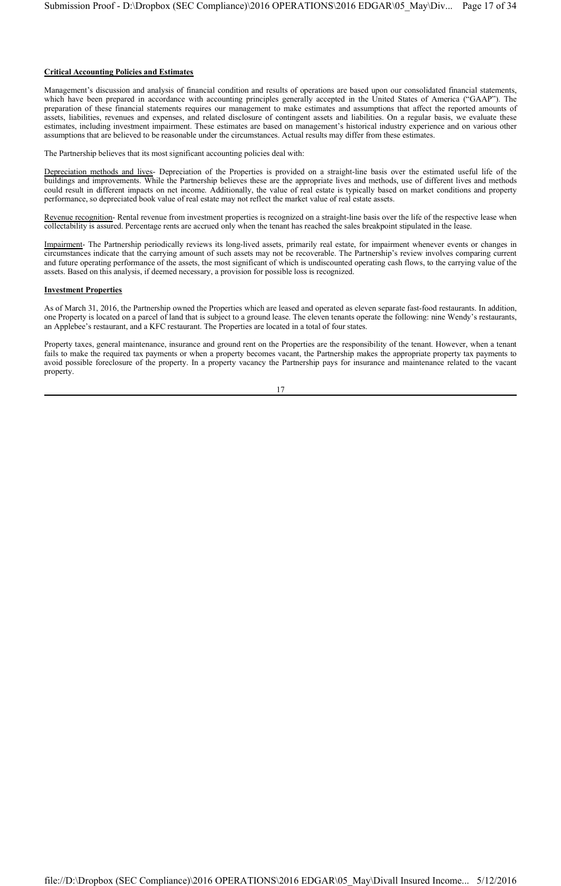#### **Critical Accounting Policies and Estimates**

Management's discussion and analysis of financial condition and results of operations are based upon our consolidated financial statements, which have been prepared in accordance with accounting principles generally accepted in the United States of America ("GAAP"). The preparation of these financial statements requires our management to make estimates and assumptions that affect the reported amounts of assets, liabilities, revenues and expenses, and related disclosure of contingent assets and liabilities. On a regular basis, we evaluate these estimates, including investment impairment. These estimates are based on management's historical industry experience and on various other assumptions that are believed to be reasonable under the circumstances. Actual results may differ from these estimates.

The Partnership believes that its most significant accounting policies deal with:

Depreciation methods and lives- Depreciation of the Properties is provided on a straight-line basis over the estimated useful life of the buildings and improvements. While the Partnership believes these are the appropriate lives and methods, use of different lives and methods could result in different impacts on net income. Additionally, the value of real estate is typically based on market conditions and property performance, so depreciated book value of real estate may not reflect the market value of real estate assets.

Revenue recognition- Rental revenue from investment properties is recognized on a straight-line basis over the life of the respective lease when collectability is assured. Percentage rents are accrued only when the tenant has reached the sales breakpoint stipulated in the lease.

Impairment- The Partnership periodically reviews its long-lived assets, primarily real estate, for impairment whenever events or changes in circumstances indicate that the carrying amount of such assets may not be recoverable. The Partnership's review involves comparing current and future operating performance of the assets, the most significant of which is undiscounted operating cash flows, to the carrying value of the assets. Based on this analysis, if deemed necessary, a provision for possible loss is recognized.

#### **Investment Properties**

As of March 31, 2016, the Partnership owned the Properties which are leased and operated as eleven separate fast-food restaurants. In addition, one Property is located on a parcel of land that is subject to a ground lease. The eleven tenants operate the following: nine Wendy's restaurants, an Applebee's restaurant, and a KFC restaurant. The Properties are located in a total of four states.

Property taxes, general maintenance, insurance and ground rent on the Properties are the responsibility of the tenant. However, when a tenant fails to make the required tax payments or when a property becomes vacant, the Partnership makes the appropriate property tax payments to avoid possible foreclosure of the property. In a property vacancy the Partnership pays for insurance and maintenance related to the vacant property.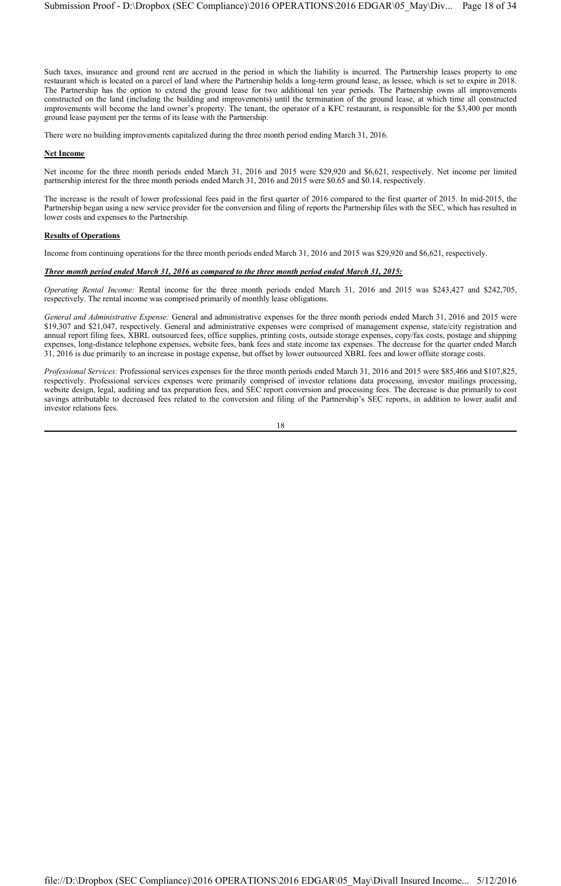Such taxes, insurance and ground rent are accrued in the period in which the liability is incurred. The Partnership leases property to one restaurant which is located on a parcel of land where the Partnership holds a long-term ground lease, as lessee, which is set to expire in 2018. The Partnership has the option to extend the ground lease for two additional ten year periods. The Partnership owns all improvements constructed on the land (including the building and improvements) until the termination of the ground lease, at which time all constructed improvements will become the land owner's property. The tenant, the operator of a KFC restaurant, is responsible for the \$3,400 per month ground lease payment per the terms of its lease with the Partnership.

There were no building improvements capitalized during the three month period ending March 31, 2016.

#### **Net Income**

Net income for the three month periods ended March 31, 2016 and 2015 were \$29,920 and \$6,621, respectively. Net income per limited partnership interest for the three month periods ended March 31, 2016 and 2015 were \$0.65 and \$0.14, respectively.

The increase is the result of lower professional fees paid in the first quarter of 2016 compared to the first quarter of 2015. In mid-2015, the Partnership began using a new service provider for the conversion and filing of reports the Partnership files with the SEC, which has resulted in lower costs and expenses to the Partnership.

#### **Results of Operations**

Income from continuing operations for the three month periods ended March 31, 2016 and 2015 was \$29,920 and \$6,621, respectively.

#### *Three month period ended March 31, 2016 as compared to the three month period ended March 31, 2015:*

*Operating Rental Income:* Rental income for the three month periods ended March 31, 2016 and 2015 was \$243,427 and \$242,705, respectively. The rental income was comprised primarily of monthly lease obligations.

*General and Administrative Expense:* General and administrative expenses for the three month periods ended March 31, 2016 and 2015 were \$19,307 and \$21,047, respectively. General and administrative expenses were comprised of management expense, state/city registration and annual report filing fees, XBRL outsourced fees, office supplies, printing costs, outside storage expenses, copy/fax costs, postage and shipping expenses, long-distance telephone expenses, website fees, bank fees and state income tax expenses. The decrease for the quarter ended March 31, 2016 is due primarily to an increase in postage expense, but offset by lower outsourced XBRL fees and lower offsite storage costs.

*Professional Services:* Professional services expenses for the three month periods ended March 31, 2016 and 2015 were \$85,466 and \$107,825, respectively. Professional services expenses were primarily comprised of investor relations data processing, investor mailings processing, website design, legal, auditing and tax preparation fees, and SEC report conversion and processing fees. The decrease is due primarily to cost savings attributable to decreased fees related to the conversion and filing of the Partnership's SEC reports, in addition to lower audit and investor relations fees.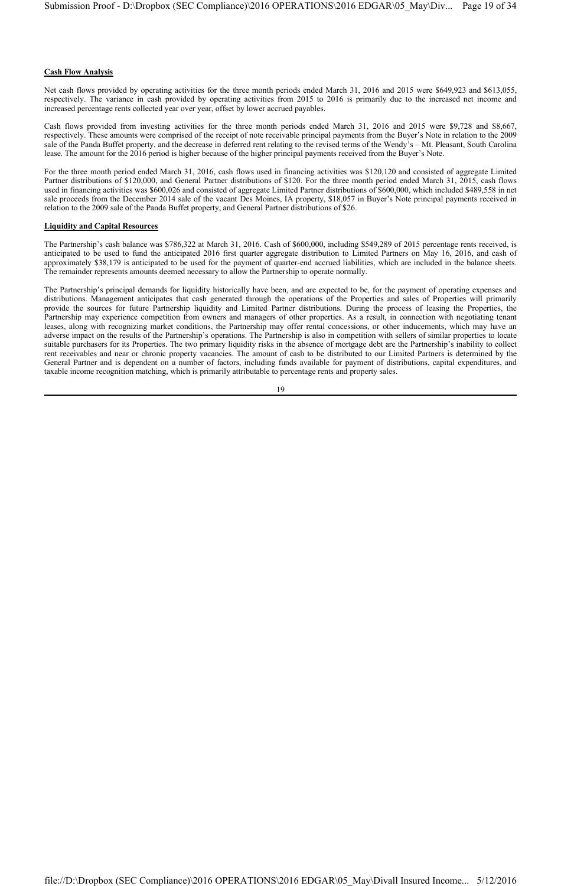#### **Cash Flow Analysis**

Net cash flows provided by operating activities for the three month periods ended March 31, 2016 and 2015 were \$649,923 and \$613,055, respectively. The variance in cash provided by operating activities from 2015 to 2016 is primarily due to the increased net income and increased percentage rents collected year over year, offset by lower accrued payables.

Cash flows provided from investing activities for the three month periods ended March 31, 2016 and 2015 were \$9,728 and \$8,667, respectively. These amounts were comprised of the receipt of note receivable principal payments from the Buyer's Note in relation to the 2009 sale of the Panda Buffet property, and the decrease in deferred rent relating to the revised terms of the Wendy's – Mt. Pleasant, South Carolina lease. The amount for the 2016 period is higher because of the higher principal payments received from the Buyer's Note.

For the three month period ended March 31, 2016, cash flows used in financing activities was \$120,120 and consisted of aggregate Limited Partner distributions of \$120,000, and General Partner distributions of \$120. For the three month period ended March 31, 2015, cash flows used in financing activities was \$600,026 and consisted of aggregate Limited Partner distributions of \$600,000, which included \$489,558 in net sale proceeds from the December 2014 sale of the vacant Des Moines, IA property, \$18,057 in Buyer's Note principal payments received in relation to the 2009 sale of the Panda Buffet property, and General Partner distributions of \$26.

#### **Liquidity and Capital Resources**

The Partnership's cash balance was \$786,322 at March 31, 2016. Cash of \$600,000, including \$549,289 of 2015 percentage rents received, is anticipated to be used to fund the anticipated 2016 first quarter aggregate distribution to Limited Partners on May 16, 2016, and cash of approximately \$38,179 is anticipated to be used for the payment of quarter-end accrued liabilities, which are included in the balance sheets. The remainder represents amounts deemed necessary to allow the Partnership to operate normally.

The Partnership's principal demands for liquidity historically have been, and are expected to be, for the payment of operating expenses and distributions. Management anticipates that cash generated through the operations of the Properties and sales of Properties will primarily provide the sources for future Partnership liquidity and Limited Partner distributions. During the process of leasing the Properties, the Partnership may experience competition from owners and managers of other properties. As a result, in connection with negotiating tenant leases, along with recognizing market conditions, the Partnership may offer rental concessions, or other inducements, which may have an adverse impact on the results of the Partnership's operations. The Partnership is also in competition with sellers of similar properties to locate suitable purchasers for its Properties. The two primary liquidity risks in the absence of mortgage debt are the Partnership's inability to collect rent receivables and near or chronic property vacancies. The amount of cash to be distributed to our Limited Partners is determined by the General Partner and is dependent on a number of factors, including funds available for payment of distributions, capital expenditures, and taxable income recognition matching, which is primarily attributable to percentage rents and property sales.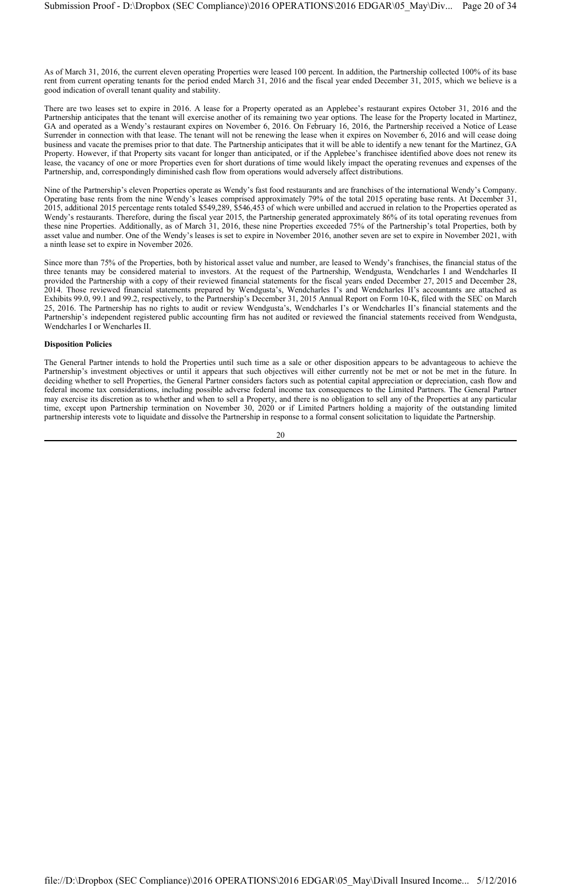As of March 31, 2016, the current eleven operating Properties were leased 100 percent. In addition, the Partnership collected 100% of its base rent from current operating tenants for the period ended March 31, 2016 and the fiscal year ended December 31, 2015, which we believe is a good indication of overall tenant quality and stability.

There are two leases set to expire in 2016. A lease for a Property operated as an Applebee's restaurant expires October 31, 2016 and the Partnership anticipates that the tenant will exercise another of its remaining two year options. The lease for the Property located in Martinez, GA and operated as a Wendy's restaurant expires on November 6, 2016. On February 16, 2016, the Partnership received a Notice of Lease Surrender in connection with that lease. The tenant will not be renewing the lease when it expires on November 6, 2016 and will cease doing business and vacate the premises prior to that date. The Partnership anticipates that it will be able to identify a new tenant for the Martinez, GA Property. However, if that Property sits vacant for longer than anticipated, or if the Applebee's franchisee identified above does not renew its lease, the vacancy of one or more Properties even for short durations of time would likely impact the operating revenues and expenses of the Partnership, and, correspondingly diminished cash flow from operations would adversely affect distributions.

Nine of the Partnership's eleven Properties operate as Wendy's fast food restaurants and are franchises of the international Wendy's Company. Operating base rents from the nine Wendy's leases comprised approximately 79% of the total 2015 operating base rents. At December 31, 2015, additional 2015 percentage rents totaled \$549,289, \$546,453 of which were unbilled and accrued in relation to the Properties operated as Wendy's restaurants. Therefore, during the fiscal year 2015, the Partnership generated approximately 86% of its total operating revenues from these nine Properties. Additionally, as of March 31, 2016, these nine Properties exceeded 75% of the Partnership's total Properties, both by asset value and number. One of the Wendy's leases is set to expire in November 2016, another seven are set to expire in November 2021, with a ninth lease set to expire in November 2026.

Since more than 75% of the Properties, both by historical asset value and number, are leased to Wendy's franchises, the financial status of the three tenants may be considered material to investors. At the request of the Partnership, Wendgusta, Wendcharles I and Wendcharles II provided the Partnership with a copy of their reviewed financial statements for the fiscal years ended December 27, 2015 and December 28, 2014. Those reviewed financial statements prepared by Wendgusta's, Wendcharles I's and Wendcharles II's accountants are attached as Exhibits 99.0, 99.1 and 99.2, respectively, to the Partnership's December 31, 2015 Annual Report on Form 10-K, filed with the SEC on March 25, 2016. The Partnership has no rights to audit or review Wendgusta's, Wendcharles I's or Wendcharles II's financial statements and the Partnership's independent registered public accounting firm has not audited or reviewed the financial statements received from Wendgusta, Wendcharles I or Wencharles II.

#### **Disposition Policies**

The General Partner intends to hold the Properties until such time as a sale or other disposition appears to be advantageous to achieve the Partnership's investment objectives or until it appears that such objectives will either currently not be met or not be met in the future. In deciding whether to sell Properties, the General Partner considers factors such as potential capital appreciation or depreciation, cash flow and federal income tax considerations, including possible adverse federal income tax consequences to the Limited Partners. The General Partner may exercise its discretion as to whether and when to sell a Property, and there is no obligation to sell any of the Properties at any particular time, except upon Partnership termination on November 30, 2020 or if Limited Partners holding a majority of the outstanding limited partnership interests vote to liquidate and dissolve the Partnership in response to a formal consent solicitation to liquidate the Partnership.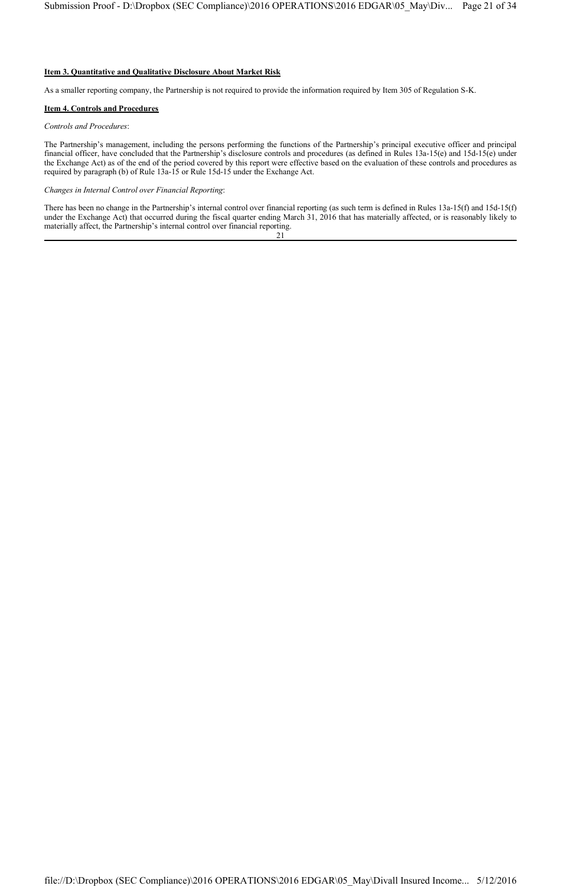## **Item 3. Quantitative and Qualitative Disclosure About Market Risk**

As a smaller reporting company, the Partnership is not required to provide the information required by Item 305 of Regulation S-K.

#### **Item 4. Controls and Procedures**

#### *Controls and Procedures*:

The Partnership's management, including the persons performing the functions of the Partnership's principal executive officer and principal financial officer, have concluded that the Partnership's disclosure controls and procedures (as defined in Rules 13a-15(e) and 15d-15(e) under the Exchange Act) as of the end of the period covered by this report were effective based on the evaluation of these controls and procedures as required by paragraph (b) of Rule 13a-15 or Rule 15d-15 under the Exchange Act.

*Changes in Internal Control over Financial Reporting*:

There has been no change in the Partnership's internal control over financial reporting (as such term is defined in Rules 13a-15(f) and 15d-15(f) under the Exchange Act) that occurred during the fiscal quarter ending March 31, 2016 that has materially affected, or is reasonably likely to materially affect, the Partnership's internal control over financial reporting. 21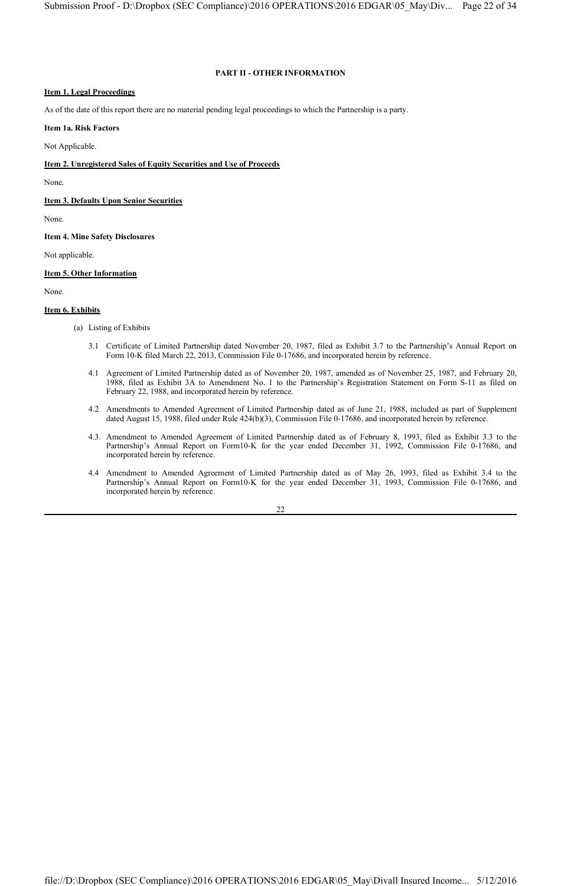#### **PART II - OTHER INFORMATION**

## **Item 1. Legal Proceedings**

As of the date of this report there are no material pending legal proceedings to which the Partnership is a party.

#### **Item 1a. Risk Factors**

Not Applicable.

## **Item 2. Unregistered Sales of Equity Securities and Use of Proceeds**

None.

**Item 3. Defaults Upon Senior Securities**

None.

**Item 4. Mine Safety Disclosures**

Not applicable.

#### **Item 5. Other Information**

None.

#### **Item 6. Exhibits**

- (a) Listing of Exhibits
	- 3.1 Certificate of Limited Partnership dated November 20, 1987, filed as Exhibit 3.7 to the Partnership's Annual Report on Form 10-K filed March 22, 2013, Commission File 0-17686, and incorporated herein by reference.
	- 4.1 Agreement of Limited Partnership dated as of November 20, 1987, amended as of November 25, 1987, and February 20, 1988, filed as Exhibit 3A to Amendment No. 1 to the Partnership's Registration Statement on Form S-11 as filed on February 22, 1988, and incorporated herein by reference.
	- 4.2 Amendments to Amended Agreement of Limited Partnership dated as of June 21, 1988, included as part of Supplement dated August 15, 1988, filed under Rule 424(b)(3), Commission File 0-17686, and incorporated herein by reference.
	- 4.3. Amendment to Amended Agreement of Limited Partnership dated as of February 8, 1993, filed as Exhibit 3.3 to the Partnership's Annual Report on Form10-K for the year ended December 31, 1992, Commission File 0-17686, and incorporated herein by reference.
	- 4.4 Amendment to Amended Agreement of Limited Partnership dated as of May 26, 1993, filed as Exhibit 3.4 to the Partnership's Annual Report on Form10-K for the year ended December 31, 1993, Commission File 0-17686, and incorporated herein by reference.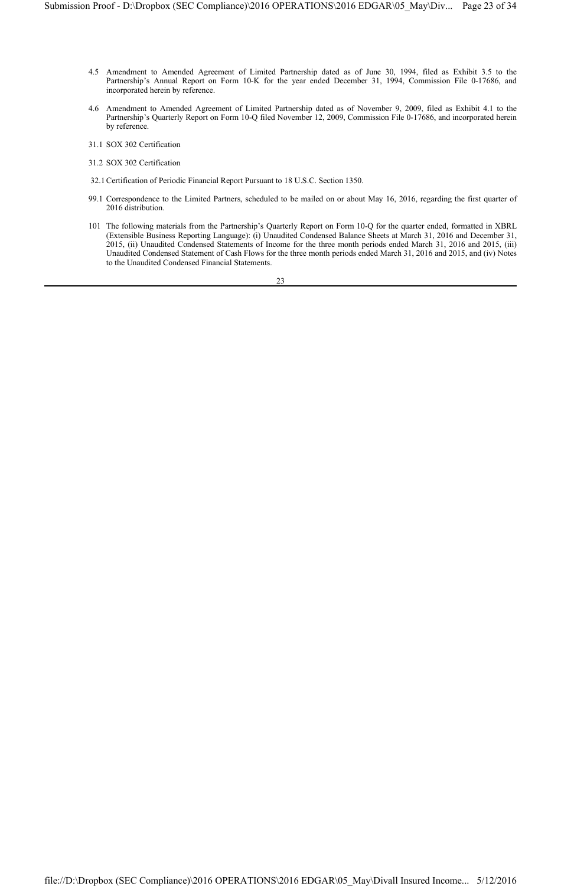- 4.5 Amendment to Amended Agreement of Limited Partnership dated as of June 30, 1994, filed as Exhibit 3.5 to the Partnership's Annual Report on Form 10-K for the year ended December 31, 1994, Commission File 0-17686, and incorporated herein by reference.
- 4.6 Amendment to Amended Agreement of Limited Partnership dated as of November 9, 2009, filed as Exhibit 4.1 to the Partnership's Quarterly Report on Form 10-Q filed November 12, 2009, Commission File 0-17686, and incorporated herein by reference.
- 31.1 SOX 302 Certification
- 31.2 SOX 302 Certification
- 32.1Certification of Periodic Financial Report Pursuant to 18 U.S.C. Section 1350.
- 99.1 Correspondence to the Limited Partners, scheduled to be mailed on or about May 16, 2016, regarding the first quarter of 2016 distribution.
- 101 The following materials from the Partnership's Quarterly Report on Form 10-Q for the quarter ended, formatted in XBRL (Extensible Business Reporting Language): (i) Unaudited Condensed Balance Sheets at March 31, 2016 and December 31, 2015, (ii) Unaudited Condensed Statements of Income for the three month periods ended March 31, 2016 and 2015, (iii) Unaudited Condensed Statement of Cash Flows for the three month periods ended March 31, 2016 and 2015, and (iv) Notes to the Unaudited Condensed Financial Statements.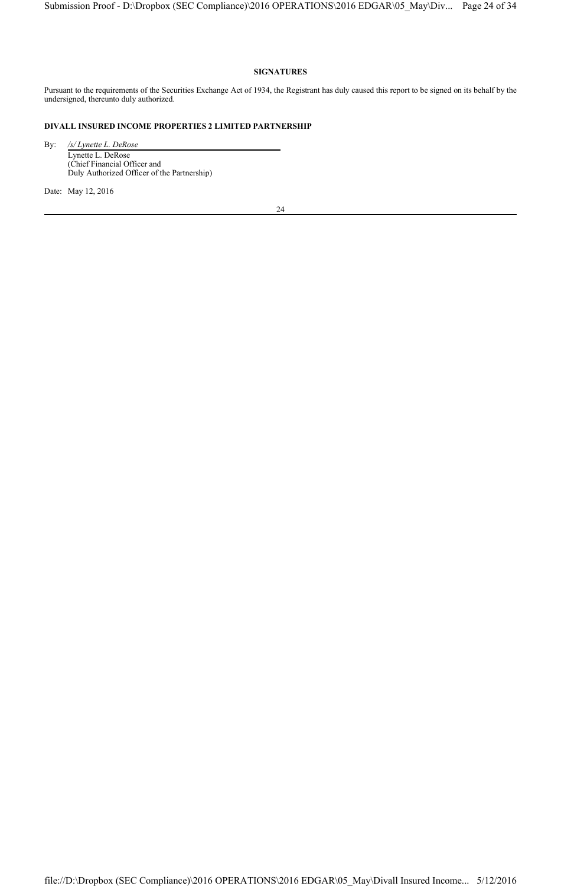## **SIGNATURES**

Pursuant to the requirements of the Securities Exchange Act of 1934, the Registrant has duly caused this report to be signed on its behalf by the undersigned, thereunto duly authorized.

## **DIVALL INSURED INCOME PROPERTIES 2 LIMITED PARTNERSHIP**

By: */s/ Lynette L. DeRose* Lynette L. DeRose (Chief Financial Officer and Duly Authorized Officer of the Partnership)

Date: May 12, 2016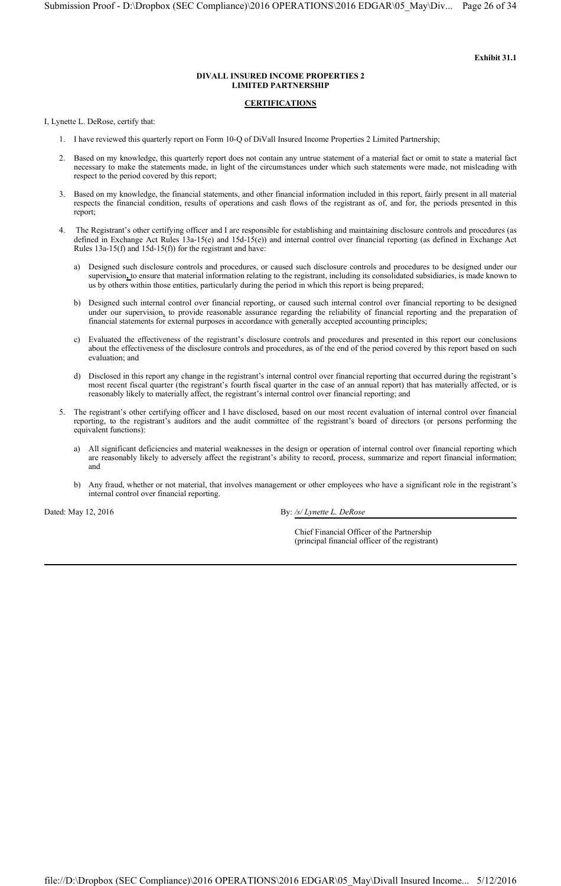#### **CERTIFICATIONS**

I, Lynette L. DeRose, certify that:

- 1. I have reviewed this quarterly report on Form 10-Q of DiVall Insured Income Properties 2 Limited Partnership;
- 2. Based on my knowledge, this quarterly report does not contain any untrue statement of a material fact or omit to state a material fact necessary to make the statements made, in light of the circumstances under which such statements were made, not misleading with respect to the period covered by this report;
- 3. Based on my knowledge, the financial statements, and other financial information included in this report, fairly present in all material respects the financial condition, results of operations and cash flows of the registrant as of, and for, the periods presented in this report;
- 4. The Registrant's other certifying officer and I are responsible for establishing and maintaining disclosure controls and procedures (as defined in Exchange Act Rules 13a-15(e) and 15d-15(e)) and internal control over financial reporting (as defined in Exchange Act Rules 13a-15(f) and 15d-15(f)) for the registrant and have:
	- a) Designed such disclosure controls and procedures, or caused such disclosure controls and procedures to be designed under our supervision**,** to ensure that material information relating to the registrant, including its consolidated subsidiaries, is made known to us by others within those entities, particularly during the period in which this report is being prepared;
	- b) Designed such internal control over financial reporting, or caused such internal control over financial reporting to be designed under our supervision, to provide reasonable assurance regarding the reliability of financial reporting and the preparation of financial statements for external purposes in accordance with generally accepted accounting principles;
	- c) Evaluated the effectiveness of the registrant's disclosure controls and procedures and presented in this report our conclusions about the effectiveness of the disclosure controls and procedures, as of the end of the period covered by this report based on such evaluation; and
	- d) Disclosed in this report any change in the registrant's internal control over financial reporting that occurred during the registrant's most recent fiscal quarter (the registrant's fourth fiscal quarter in the case of an annual report) that has materially affected, or is reasonably likely to materially affect, the registrant's internal control over financial reporting; and
- 5. The registrant's other certifying officer and I have disclosed, based on our most recent evaluation of internal control over financial reporting, to the registrant's auditors and the audit committee of the registrant's board of directors (or persons performing the equivalent functions):
	- a) All significant deficiencies and material weaknesses in the design or operation of internal control over financial reporting which are reasonably likely to adversely affect the registrant's ability to record, process, summarize and report financial information; and
	- b) Any fraud, whether or not material, that involves management or other employees who have a significant role in the registrant's internal control over financial reporting.

Dated: May 12, 2016 **By:** */s/ Lynette L. DeRose* 

Chief Financial Officer of the Partnership (principal financial officer of the registrant)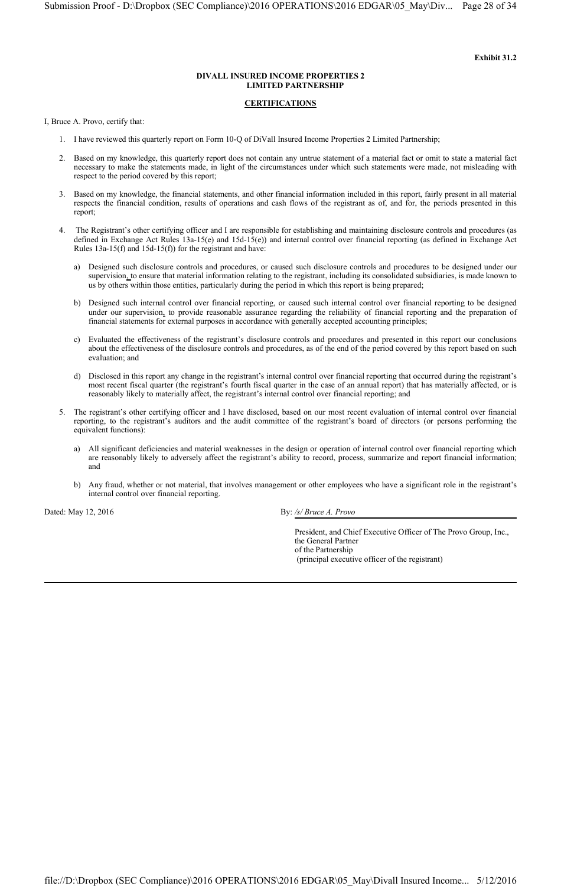#### **CERTIFICATIONS**

I, Bruce A. Provo, certify that:

- 1. I have reviewed this quarterly report on Form 10-Q of DiVall Insured Income Properties 2 Limited Partnership;
- 2. Based on my knowledge, this quarterly report does not contain any untrue statement of a material fact or omit to state a material fact necessary to make the statements made, in light of the circumstances under which such statements were made, not misleading with respect to the period covered by this report;
- 3. Based on my knowledge, the financial statements, and other financial information included in this report, fairly present in all material respects the financial condition, results of operations and cash flows of the registrant as of, and for, the periods presented in this report;
- 4. The Registrant's other certifying officer and I are responsible for establishing and maintaining disclosure controls and procedures (as defined in Exchange Act Rules 13a-15(e) and 15d-15(e)) and internal control over financial reporting (as defined in Exchange Act Rules  $13a-15(f)$  and  $15d-15(f)$  for the registrant and have:
	- a) Designed such disclosure controls and procedures, or caused such disclosure controls and procedures to be designed under our supervision, to ensure that material information relating to the registrant, including its consolidated subsidiaries, is made known to us by others within those entities, particularly during the period in which this report is being prepared;
	- b) Designed such internal control over financial reporting, or caused such internal control over financial reporting to be designed under our supervision, to provide reasonable assurance regarding the reliability of financial reporting and the preparation of financial statements for external purposes in accordance with generally accepted accounting principles;
	- c) Evaluated the effectiveness of the registrant's disclosure controls and procedures and presented in this report our conclusions about the effectiveness of the disclosure controls and procedures, as of the end of the period covered by this report based on such evaluation; and
	- d) Disclosed in this report any change in the registrant's internal control over financial reporting that occurred during the registrant's most recent fiscal quarter (the registrant's fourth fiscal quarter in the case of an annual report) that has materially affected, or is reasonably likely to materially affect, the registrant's internal control over financial reporting; and
- 5. The registrant's other certifying officer and I have disclosed, based on our most recent evaluation of internal control over financial reporting, to the registrant's auditors and the audit committee of the registrant's board of directors (or persons performing the equivalent functions):
	- a) All significant deficiencies and material weaknesses in the design or operation of internal control over financial reporting which are reasonably likely to adversely affect the registrant's ability to record, process, summarize and report financial information; and
	- b) Any fraud, whether or not material, that involves management or other employees who have a significant role in the registrant's internal control over financial reporting.

Dated: May 12, 2016 **By:** */s/ Bruce A. Provo* 

President, and Chief Executive Officer of The Provo Group, Inc., the General Partner of the Partnership (principal executive officer of the registrant)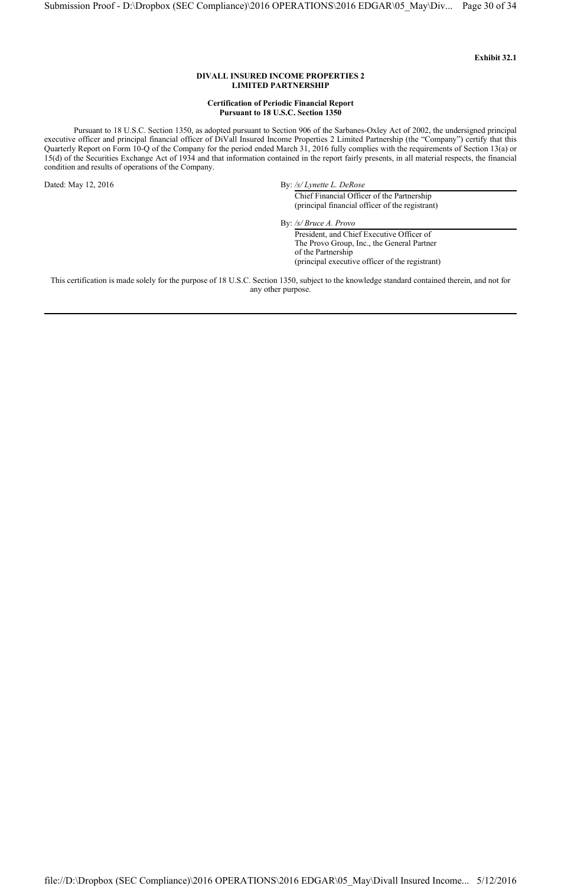#### **Certification of Periodic Financial Report Pursuant to 18 U.S.C. Section 1350**

Pursuant to 18 U.S.C. Section 1350, as adopted pursuant to Section 906 of the Sarbanes-Oxley Act of 2002, the undersigned principal executive officer and principal financial officer of DiVall Insured Income Properties 2 Limited Partnership (the "Company") certify that this Quarterly Report on Form 10-Q of the Company for the period ended March 31, 2016 fully complies with the requirements of Section 13(a) or 15(d) of the Securities Exchange Act of 1934 and that information contained in the report fairly presents, in all material respects, the financial condition and results of operations of the Company.

Dated: May 12, 2016 By: */s/ Lynette L. DeRose* 

Chief Financial Officer of the Partnership (principal financial officer of the registrant)

By: */s/ Bruce A. Provo*

President, and Chief Executive Officer of The Provo Group, Inc., the General Partner of the Partnership (principal executive officer of the registrant)

This certification is made solely for the purpose of 18 U.S.C. Section 1350, subject to the knowledge standard contained therein, and not for any other purpose.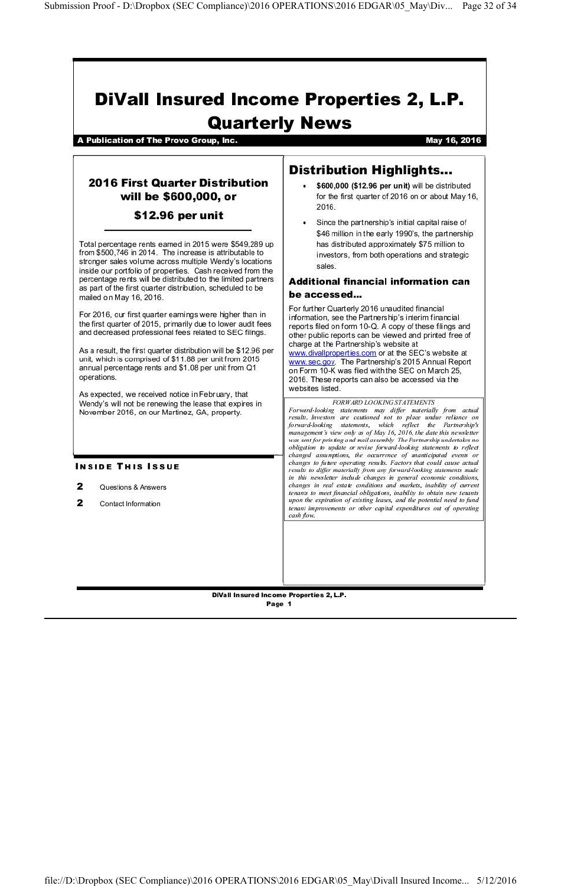# **DiVall Insured Income Properties 2, L.P. Quarterly News**

A Publication of The Provo Group, Inc.

May 16, 2016

## **2016 First Quarter Distribution** will be \$600,000, or

## \$12.96 per unit

Total percentage rents earned in 2015 were \$549,289 up from \$500,746 in 2014. The increase is attributable to stronger sales volume across multiple Wendy's locations inside our portfolio of properties. Cash received from the percentage rents will be distributed to the limited partners as part of the first quarter distribution, scheduled to be mailed on May 16, 2016.

For 2016, our first quarter earnings were higher than in the first quarter of 2015, primarily due to lower audit fees and decreased professional fees related to SEC filings.

As a result, the first quarter distribution will be \$12.96 per unit, which is comprised of \$11.88 per unit from 2015 annual percentage rents and \$1.08 per unit from Q1 operations.

As expected, we received notice in February, that Wendy's will not be renewing the lease that expires in November 2016, on our Martinez, GA, property.

## **INSIDE THIS ISSUE**

#### $\mathbf{z}$ Questions & Answers

 $\mathbf{z}$ Contact Information

# **Distribution Highlights...**

- \$600,000 (\$12.96 per unit) will be distributed for the first quarter of 2016 on or about May 16, 2016
- Since the partnership's initial capital raise of  $\bullet$ \$46 million in the early 1990's, the partnership has distributed approximately \$75 million to investors, from both operations and strategic sales

## **Additional financial information can** be accessed...

For further Quarterly 2016 unaudited financial information, see the Partnership's interim financial reports filed on form 10-Q. A copy of these filings and other public reports can be viewed and printed free of charge at the Partnership's website at www.divallproperties.com or at the SEC's website at www.sec.gov. The Partnership's 2015 Annual Report on Form 10-K was filed with the SEC on March 25, 2016. These reports can also be accessed via the websites listed.

FORWARD LOOKING STATEMENTS Forward-looking statements may differ materially from actual results. Investors are cautioned not to place undue reliance on forward-looking statements, which reflect the Partnership's management's view only as of May 16, 2016, the date this newsletter was sent for printing and mail assembly The Partnership undertakes no obligation to update or revise forward-looking statements to reflect changed assumptions, the occurrence of unanticipated events or changes to future operating results. Factors that could cause actual results to differ materially from any forward-looking statements made in this newsletter include changes in general economic conditions, changes in real estate conditions and markets, inability of current tenants to meet financial obligations, inability to obtain new tenants upon the expiration of existing leases, and the potential need to fund tenant improvements or other capital expenditures out of operating cash flow.

DiVall Insured Income Properties 2, L.P. Page 1